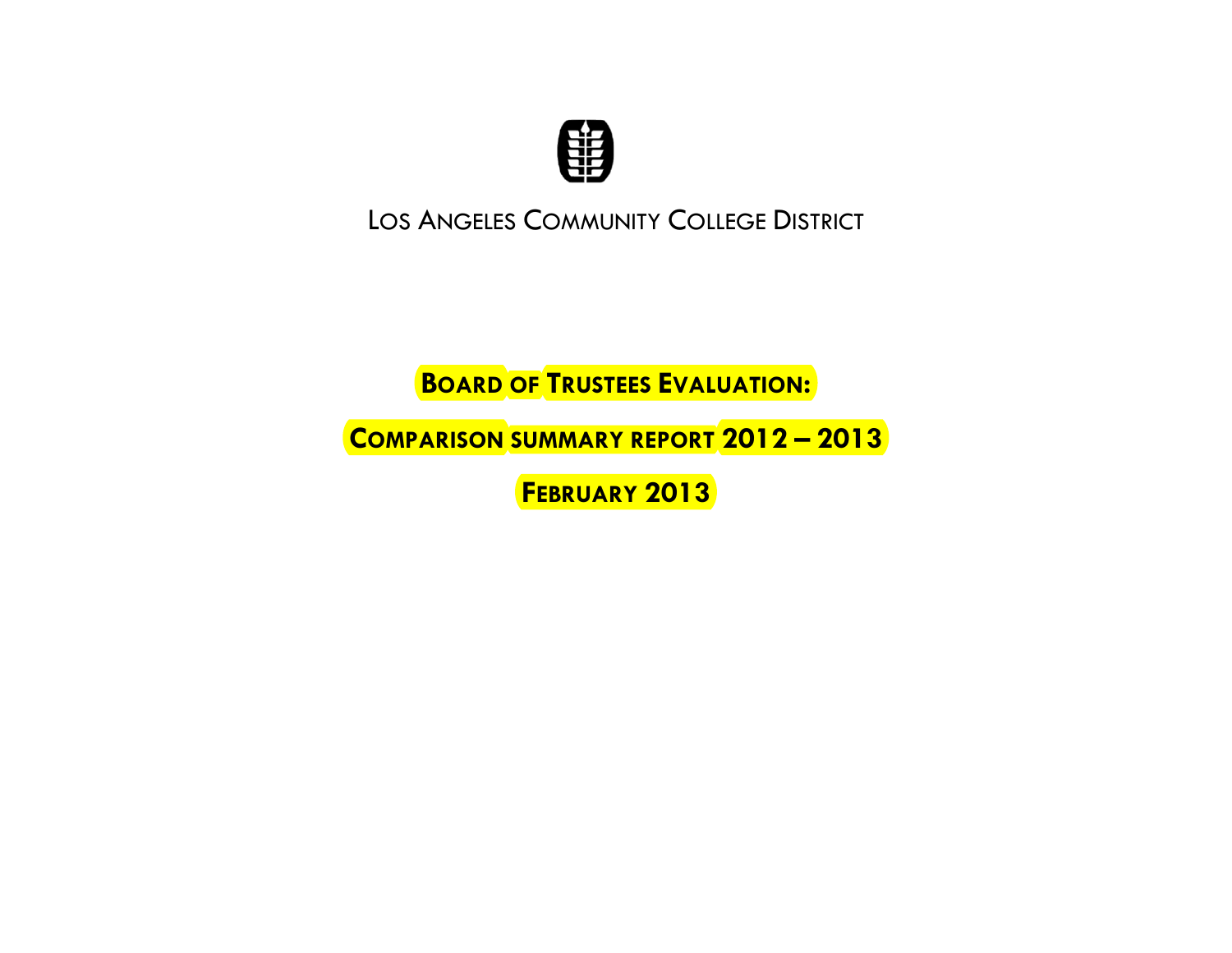

LOS ANGELES COMMUNITY COLLEGE DISTRICT

**BOARD OF TRUSTEES EVALUATION:**

**COMPARISON SUMMARY REPORT 2012 – 2013** 

**FEBRUARY 2013**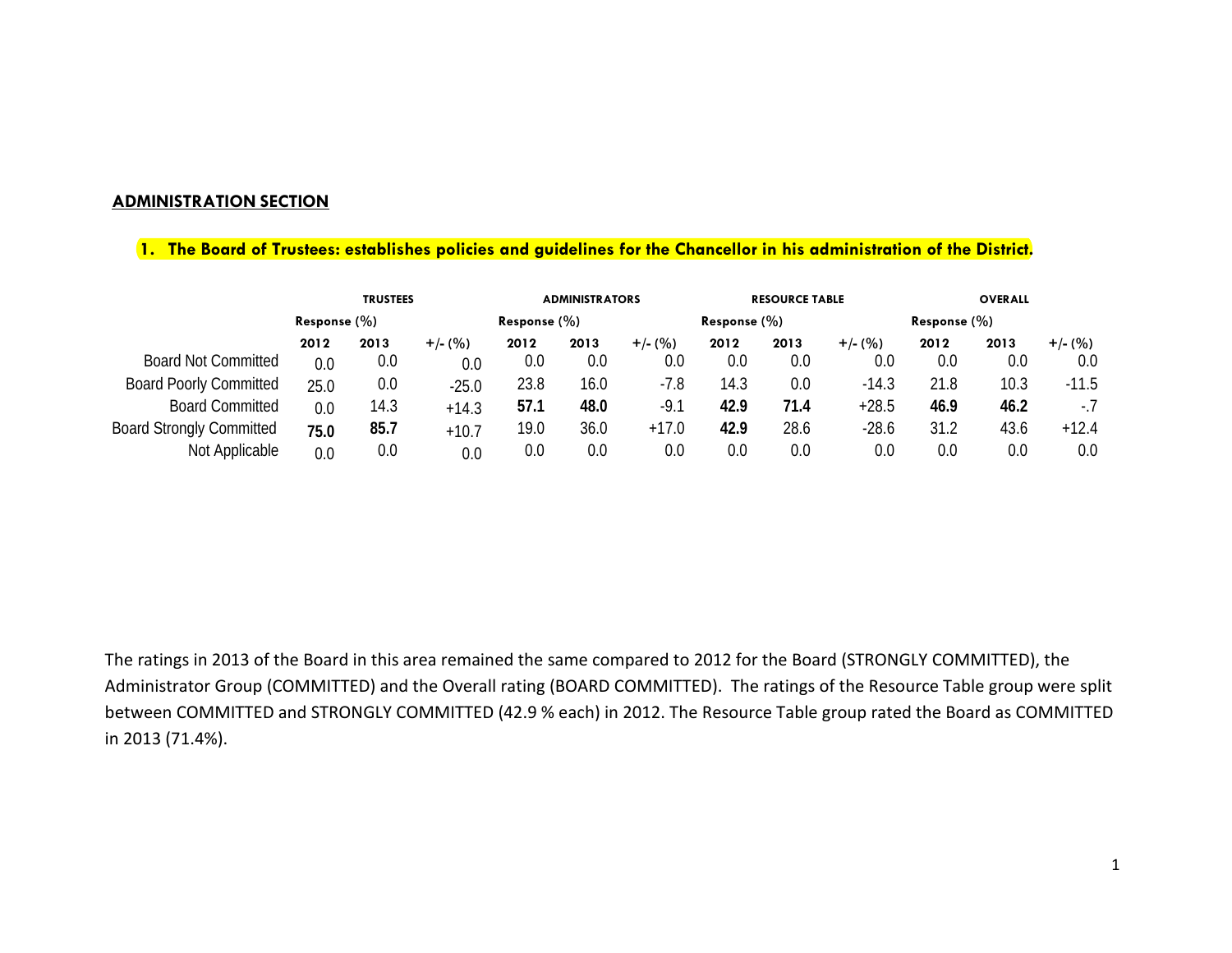#### **ADMINISTRATION SECTION**

#### **1. The Board of Trustees: establishes policies and guidelines for the Chancellor in his administration of the District.**

|                                 |                 | <b>TRUSTEES</b> |           |                 | <b>ADMINISTRATORS</b> |           |                 | <b>RESOURCE TABLE</b> |           |                  | <b>OVERALL</b> |           |
|---------------------------------|-----------------|-----------------|-----------|-----------------|-----------------------|-----------|-----------------|-----------------------|-----------|------------------|----------------|-----------|
|                                 | Response $(\%)$ |                 |           | Response $(\%)$ |                       |           | Response $(\%)$ |                       |           | Response $(\% )$ |                |           |
|                                 | 2012            | 2013            | $+/-$ (%) | 2012            | 2013                  | $+/-$ (%) | 2012            | 2013                  | $+/-$ (%) | 2012             | 2013           | $+/-$ (%) |
| <b>Board Not Committed</b>      | 0.0             | 0.0             | 0.0       | 0.0             | 0.0                   | 0.0       | 0.0             | 0.0                   | 0.0       | 0.0              | 0.0            | 0.0       |
| <b>Board Poorly Committed</b>   | 25.0            | 0.0             | $-25.0$   | 23.8            | 16.0                  | $-7.8$    | 14.3            | 0.0                   | $-14.3$   | 21.8             | 10.3           | $-11.5$   |
| <b>Board Committed</b>          | 0.0             | 14.3            | $+14.3$   | 57.1            | 48.0                  | $-9.1$    | 42.9            | 71.4                  | $+28.5$   | 46.9             | 46.2           | $-1$      |
| <b>Board Strongly Committed</b> | 75.0            | 85.7            | $+10.7$   | 19.0            | 36.0                  | $+17.0$   | 42.9            | 28.6                  | $-28.6$   | 31.2             | 43.6           | $+12.4$   |
| Not Applicable                  | 0.0             | 0.0             | 0.0       | 0.0             | 0.0                   | 0.0       | 0.0             | 0.0                   | 0.0       | 0.0              | 0.0            | 0.0       |

The ratings in 2013 of the Board in this area remained the same compared to 2012 for the Board (STRONGLY COMMITTED), the Administrator Group (COMMITTED) and the Overall rating (BOARD COMMITTED). The ratings of the Resource Table group were split between COMMITTED and STRONGLY COMMITTED (42.9 % each) in 2012. The Resource Table group rated the Board as COMMITTED in 2013 (71.4%).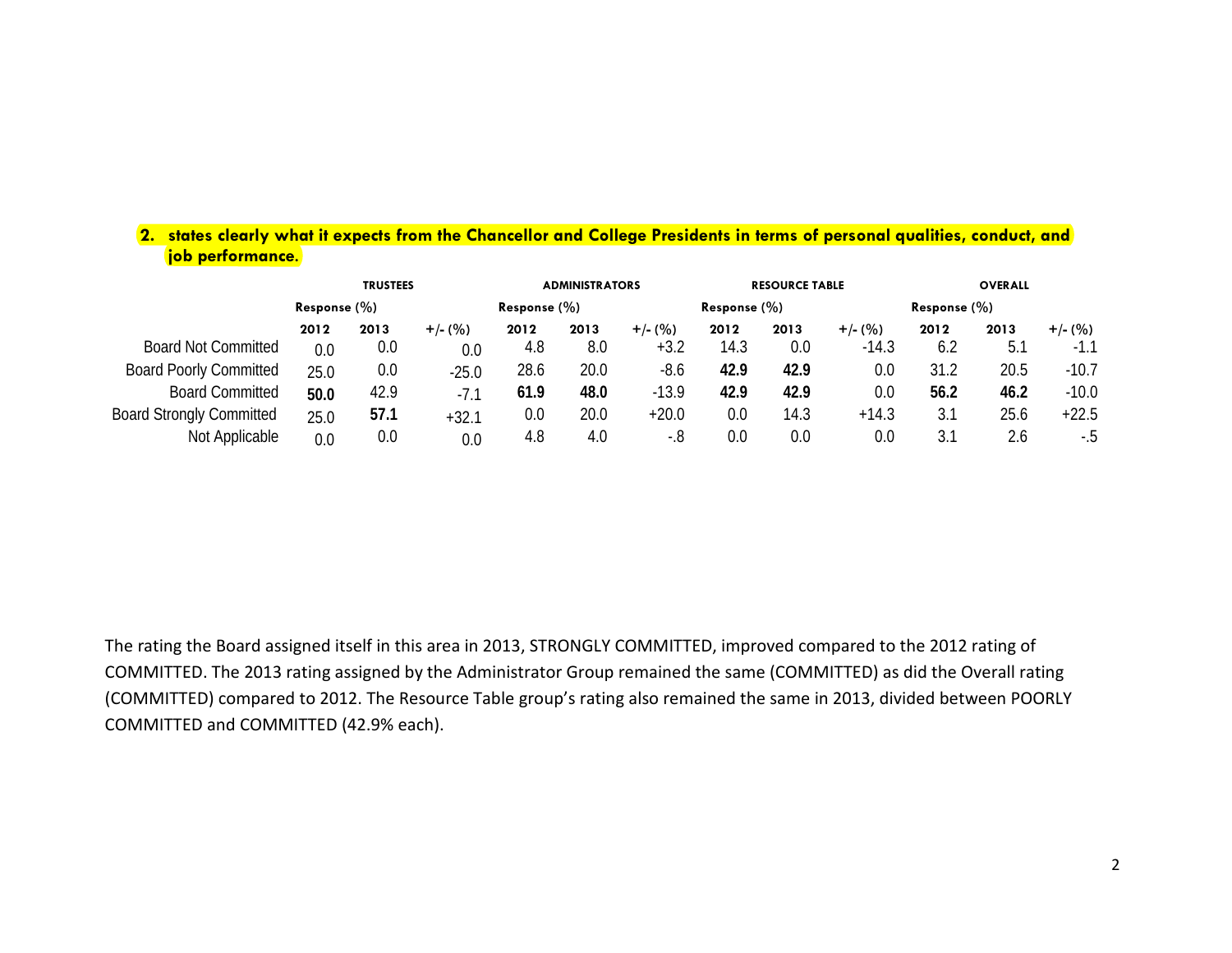### **2. states clearly what it expects from the Chancellor and College Presidents in terms of personal qualities, conduct, and job performance**.

|                                 |      | <b>TRUSTEES</b> |           |      | <b>ADMINISTRATORS</b> |           |                 | <b>RESOURCE TABLE</b> |           |                  | <b>OVERALL</b> |           |
|---------------------------------|------|-----------------|-----------|------|-----------------------|-----------|-----------------|-----------------------|-----------|------------------|----------------|-----------|
|                                 |      | Response $(\%)$ |           |      | Response $(\%)$       |           | Response $(\%)$ |                       |           | Response $(\% )$ |                |           |
|                                 | 2012 | 2013            | $+/-$ (%) | 2012 | 2013                  | $+/-$ (%) | 2012            | 2013                  | $+/-$ (%) | 2012             | 2013           | $+/-$ (%) |
| <b>Board Not Committed</b>      | 0.0  | 0.0             | 0.0       | 4.8  | 8.0                   | $+3.2$    | 14.3            | 0.0                   | $-14.3$   | 6.2              | 5.1            | $-1.1$    |
| <b>Board Poorly Committed</b>   | 25.0 | 0.0             | $-25.0$   | 28.6 | 20.0                  | $-8.6$    | 42.9            | 42.9                  | 0.0       | 31.2             | 20.5           | $-10.7$   |
| <b>Board Committed</b>          | 50.0 | 42.9            | $-7.1$    | 61.9 | 48.0                  | $-13.9$   | 42.9            | 42.9                  | 0.0       | 56.2             | 46.2           | $-10.0$   |
| <b>Board Strongly Committed</b> | 25.0 | 57.1            | $+32.1$   | 0.0  | 20.0                  | $+20.0$   | 0.0             | 14.3                  | $+14.3$   | 3.1              | 25.6           | $+22.5$   |
| Not Applicable                  | 0.0  | 0.0             | 0.0       | 4.8  | 4.0                   | -.8       | 0.0             | 0.0                   | 0.0       | 3. I             | 2.6            | -.5       |

The rating the Board assigned itself in this area in 2013, STRONGLY COMMITTED, improved compared to the 2012 rating of COMMITTED. The 2013 rating assigned by the Administrator Group remained the same (COMMITTED) as did the Overall rating (COMMITTED) compared to 2012. The Resource Table group's rating also remained the same in 2013, divided between POORLY COMMITTED and COMMITTED (42.9% each).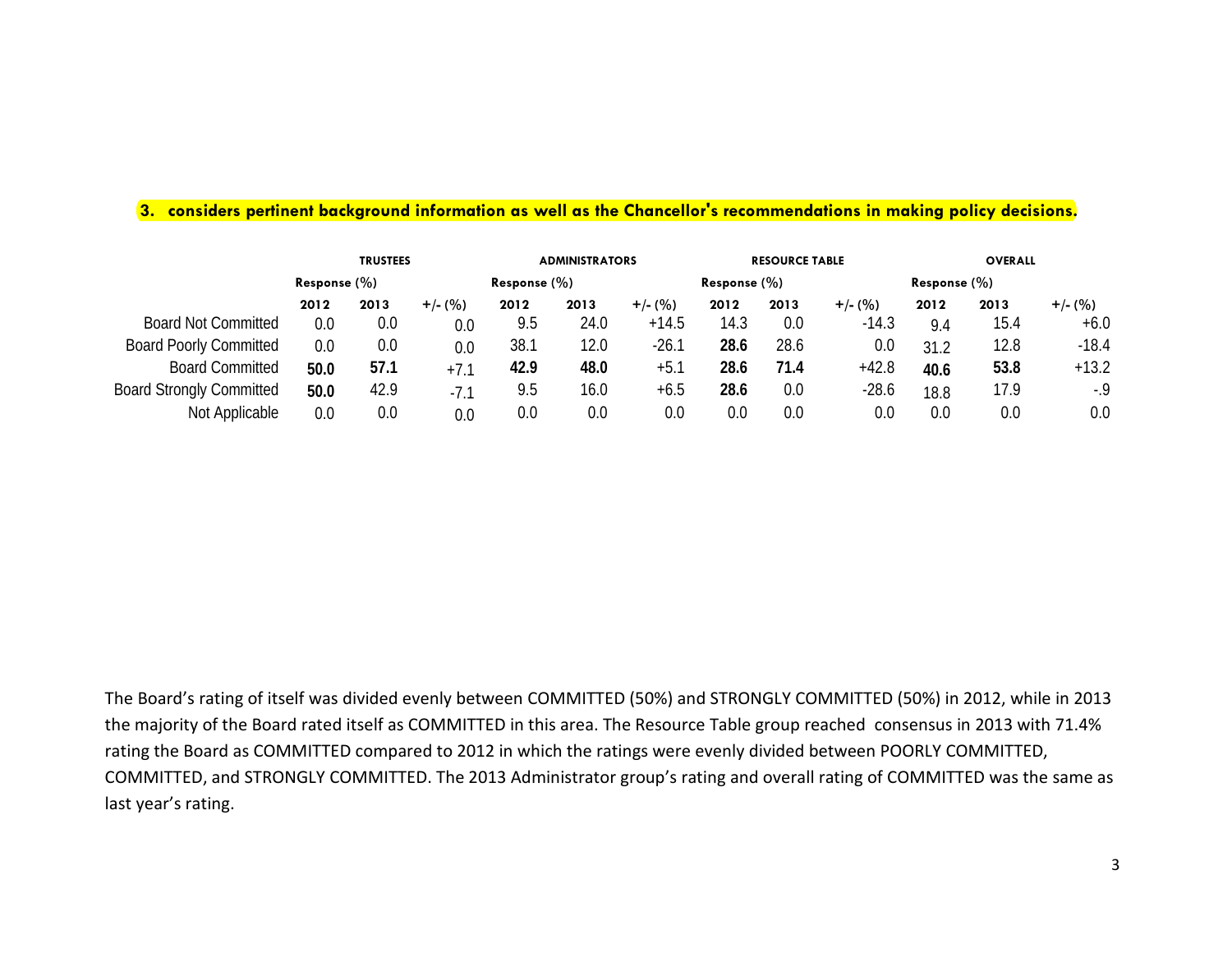#### **3. considers pertinent background information as well as the Chancellor's recommendations in making policy decisions.**

|                                 |      | <b>TRUSTEES</b> |           |      | <b>ADMINISTRATORS</b> |           |                 | <b>RESOURCE TABLE</b> |           |                 | <b>OVERALL</b> |           |
|---------------------------------|------|-----------------|-----------|------|-----------------------|-----------|-----------------|-----------------------|-----------|-----------------|----------------|-----------|
|                                 |      | Response $(\%)$ |           |      | Response $(\%)$       |           | Response $(\%)$ |                       |           | Response $(\%)$ |                |           |
|                                 | 2012 | 2013            | $+/-$ (%) | 2012 | 2013                  | $+/-$ (%) | 2012            | 2013                  | $+/-$ (%) | 2012            | 2013           | $+/-$ (%) |
| <b>Board Not Committed</b>      | 0.0  | 0.0             | 0.0       | 9.5  | 24.0                  | $+14.5$   | 14.3            | 0.0                   | $-14.3$   | 9.4             | 15.4           | $+6.0$    |
| <b>Board Poorly Committed</b>   | 0.0  | 0.0             | 0.0       | 38.1 | 12.0                  | $-26.1$   | 28.6            | 28.6                  | 0.0       | 31.2            | 12.8           | $-18.4$   |
| <b>Board Committed</b>          | 50.0 | 57.1            | $+7.1$    | 42.9 | 48.0                  | $+5.1$    | 28.6            | 71.4                  | $+42.8$   | 40.6            | 53.8           | $+13.2$   |
| <b>Board Strongly Committed</b> | 50.0 | 42.9            | $-7.1$    | 9.5  | 16.0                  | $+6.5$    | 28.6            | 0.0                   | $-28.6$   | 18.8            | 17.9           | $-9$      |
| Not Applicable                  | 0.0  | 0.0             | 0.0       | 0.0  | 0.0                   | 0.0       | 0.0             | 0.0                   | 0.0       | 0.0             | 0.0            | 0.0       |

The Board's rating of itself was divided evenly between COMMITTED (50%) and STRONGLY COMMITTED (50%) in 2012, while in 2013 the majority of the Board rated itself as COMMITTED in this area. The Resource Table group reached consensus in 2013 with 71.4% rating the Board as COMMITTED compared to 2012 in which the ratings were evenly divided between POORLY COMMITTED, COMMITTED, and STRONGLY COMMITTED. The 2013 Administrator group's rating and overall rating of COMMITTED was the same as last year's rating.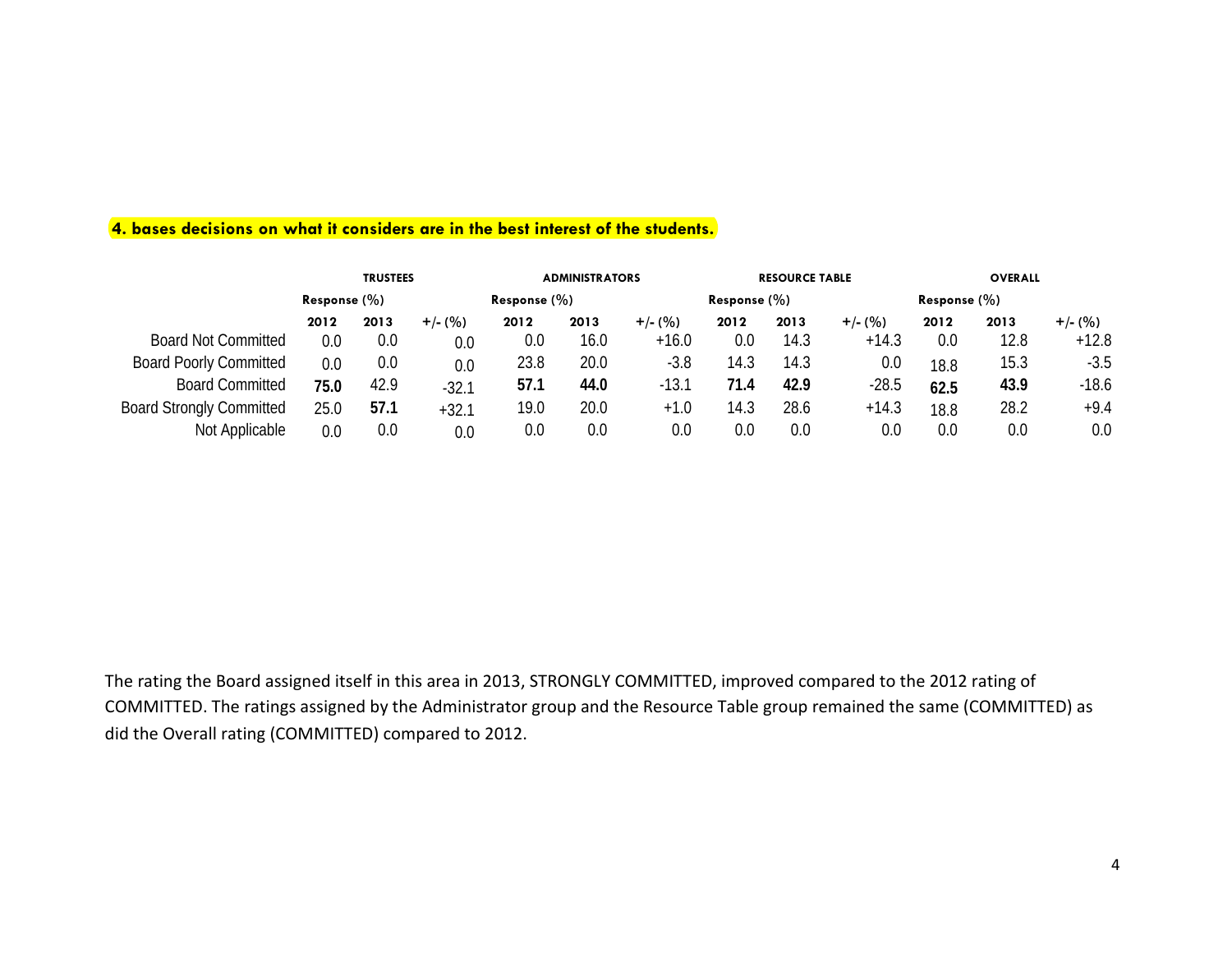## **4. bases decisions on what it considers are in the best interest of the students.**

|                                 | <b>TRUSTEES</b> |      |           |                 | <b>ADMINISTRATORS</b> |           |                 | <b>RESOURCE TABLE</b> |           |                 | <b>OVERALL</b> |           |
|---------------------------------|-----------------|------|-----------|-----------------|-----------------------|-----------|-----------------|-----------------------|-----------|-----------------|----------------|-----------|
|                                 | Response $(\%)$ |      |           | Response $(\%)$ |                       |           | Response $(\%)$ |                       |           | Response $(\%)$ |                |           |
|                                 | 2012            | 2013 | $+/-$ (%) | 2012            | 2013                  | $+/-$ (%) | 2012            | 2013                  | $+/-$ (%) | 2012            | 2013           | $+/-$ (%) |
| <b>Board Not Committed</b>      | 0.0             | 0.0  | 0.0       | $0.0\,$         | 16.0                  | $+16.0$   | 0.0             | 14.3                  | $+14.3$   | 0.0             | 12.8           | $+12.8$   |
| <b>Board Poorly Committed</b>   | 0.0             | 0.0  | 0.0       | 23.8            | 20.0                  | $-3.8$    | 14.3            | 14.3                  | $0.0\,$   | 18.8            | 15.3           | $-3.5$    |
| <b>Board Committed</b>          | 75.0            | 42.9 | $-32.1$   | 57.1            | 44.0                  | $-13.1$   | 71.4            | 42.9                  | $-28.5$   | 62.5            | 43.9           | $-18.6$   |
| <b>Board Strongly Committed</b> | 25.0            | 57.1 | $+32.1$   | 19.0            | 20.0                  | +1.0      | 14.3            | 28.6                  | $+14.3$   | 18.8            | 28.2           | $+9.4$    |
| Not Applicable                  | 0.0             | 0.0  | 0.0       | 0.0             | 0.0                   | 0.0       | 0.0             | 0.0                   | 0.0       | 0.0             | 0.0            | 0.0       |

The rating the Board assigned itself in this area in 2013, STRONGLY COMMITTED, improved compared to the 2012 rating of COMMITTED. The ratings assigned by the Administrator group and the Resource Table group remained the same (COMMITTED) as did the Overall rating (COMMITTED) compared to 2012.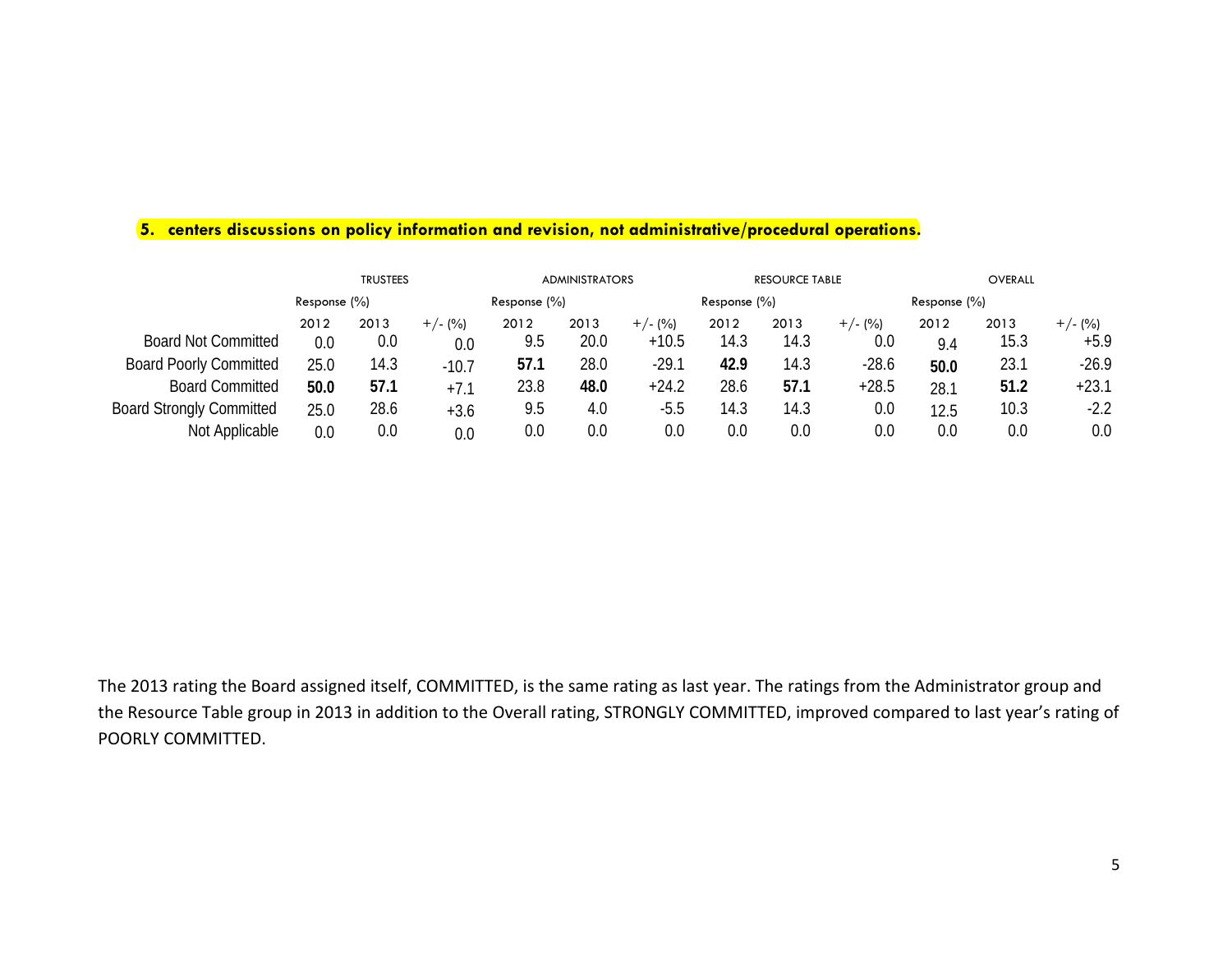## **5. centers discussions on policy information and revision, not administrative/procedural operations.**

|                                 |              | <b>TRUSTEES</b> |           |              | <b>ADMINISTRATORS</b> |           |                  | <b>RESOURCE TABLE</b> |           |                  | <b>OVERALL</b> |           |
|---------------------------------|--------------|-----------------|-----------|--------------|-----------------------|-----------|------------------|-----------------------|-----------|------------------|----------------|-----------|
|                                 | Response (%) |                 |           | Response (%) |                       |           | Response $(\% )$ |                       |           | Response $(\% )$ |                |           |
|                                 | 2012         | 2013            | $+/- (%)$ | 2012         | 2013                  | $+/- (%)$ | 2012             | 2013                  | $+/- (%)$ | 2012             | 2013           | $+/-$ (%) |
| <b>Board Not Committed</b>      | 0.0          | 0.0             | 0.0       | 9.5          | 20.0                  | $+10.5$   | 14.3             | 14.3                  | 0.0       | 9.4              | 15.3           | $+5.9$    |
| <b>Board Poorly Committed</b>   | 25.0         | 14.3            | $-10.7$   | 57.1         | 28.0                  | $-29.1$   | 42.9             | 14.3                  | $-28.6$   | 50.0             | 23.1           | $-26.9$   |
| <b>Board Committed</b>          | 50.0         | 57.1            | $+7.1$    | 23.8         | 48.0                  | $+24.2$   | 28.6             | 57.1                  | $+28.5$   | 28.1             | 51.2           | $+23.1$   |
| <b>Board Strongly Committed</b> | 25.0         | 28.6            | $+3.6$    | 9.5          | 4.0                   | $-5.5$    | 14.3             | 14.3                  | 0.0       | 12.5             | 10.3           | $-2.2$    |
| Not Applicable                  | 0.0          | 0.0             | 0.0       | 0.0          | 0.0                   | 0.0       | 0.0              | 0.0                   | 0.0       | 0.0              | 0.0            | 0.0       |

The 2013 rating the Board assigned itself, COMMITTED, is the same rating as last year. The ratings from the Administrator group and the Resource Table group in 2013 in addition to the Overall rating, STRONGLY COMMITTED, improved compared to last year's rating of POORLY COMMITTED.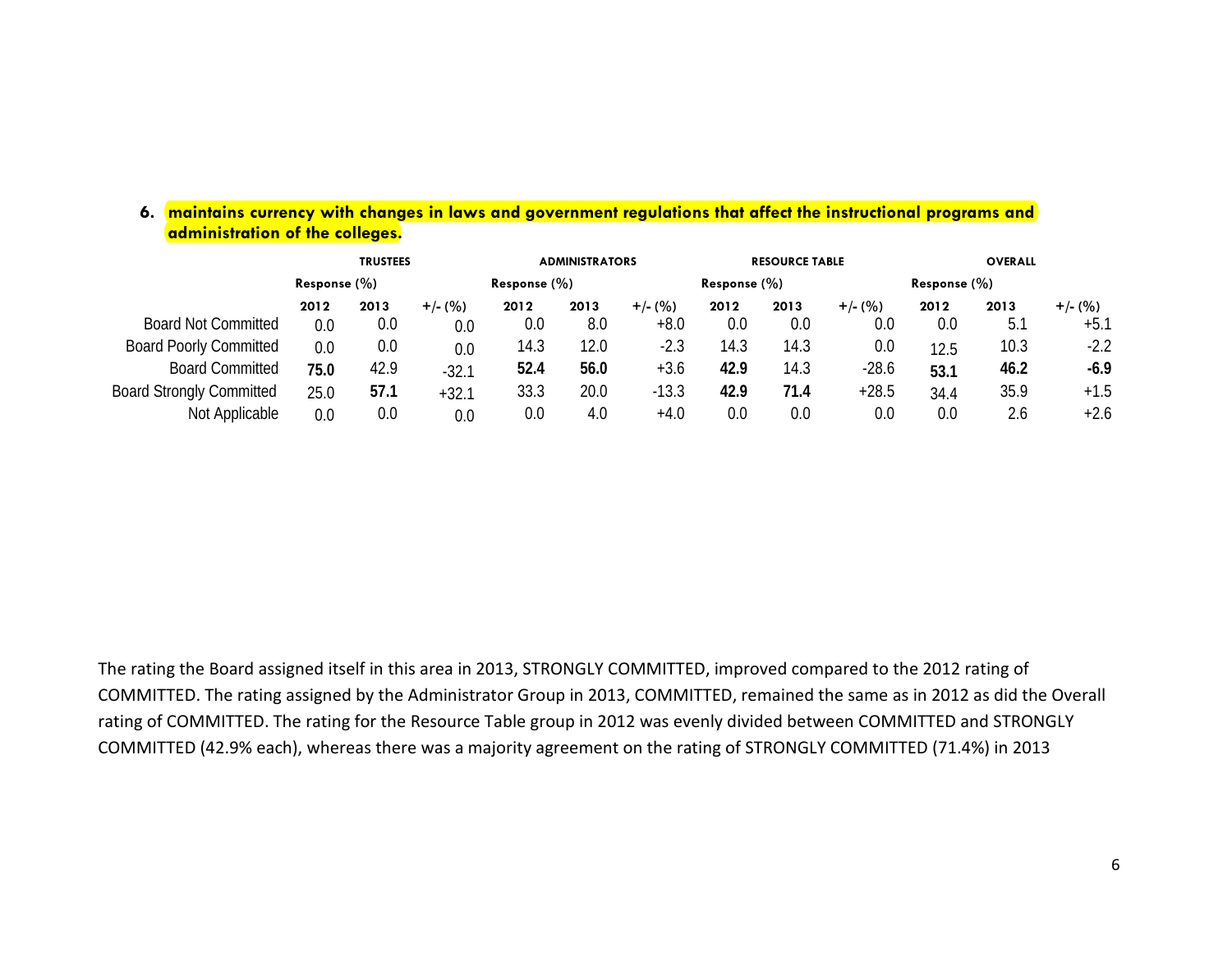#### **6. maintains currency with changes in laws and government regulations that affect the instructional programs and administration of the colleges.**

|                                 |                  | <b>TRUSTEES</b> |           |                 | <b>ADMINISTRATORS</b> |           |                 | <b>RESOURCE TABLE</b> |           |                 | <b>OVERALL</b> |           |
|---------------------------------|------------------|-----------------|-----------|-----------------|-----------------------|-----------|-----------------|-----------------------|-----------|-----------------|----------------|-----------|
|                                 | Response $(\% )$ |                 |           | Response $(\%)$ |                       |           | Response $(\%)$ |                       |           | Response $(\%)$ |                |           |
|                                 | 2012             | 2013            | $+/-$ (%) | 2012            | 2013                  | $+/-$ (%) | 2012            | 2013                  | $+/-$ (%) | 2012            | 2013           | $+/-$ (%) |
| <b>Board Not Committed</b>      | 0.0              | 0.0             | 0.0       | 0.0             | 8.0                   | $+8.0$    | 0.0             | 0.0                   | 0.0       | 0.0             | 5.1            | $+5.1$    |
| <b>Board Poorly Committed</b>   | 0.0              | 0.0             | 0.0       | 14.3            | 12.0                  | $-2.3$    | 14.3            | 14.3                  | 0.0       | 12.5            | 10.3           | $-2.2$    |
| <b>Board Committed</b>          | 75.0             | 42.9            | $-32.1$   | 52.4            | 56.0                  | $+3.6$    | 42.9            | 14.3                  | $-28.6$   | 53.1            | 46.2           | $-6.9$    |
| <b>Board Strongly Committed</b> | 25.0             | 57.1            | $+32.1$   | 33.3            | 20.0                  | $-13.3$   | 42.9            | 71.4                  | $+28.5$   | 34.4            | 35.9           | $+1.5$    |
| Not Applicable                  | 0.0              | 0.0             | 0.0       | 0.0             | 4.0                   | $+4.0$    | 0.0             | 0.0                   | 0.0       | 0.0             | 2.6            | $+2.6$    |

The rating the Board assigned itself in this area in 2013, STRONGLY COMMITTED, improved compared to the 2012 rating of COMMITTED. The rating assigned by the Administrator Group in 2013, COMMITTED, remained the same as in 2012 as did the Overall rating of COMMITTED. The rating for the Resource Table group in 2012 was evenly divided between COMMITTED and STRONGLY COMMITTED (42.9% each), whereas there was a majority agreement on the rating of STRONGLY COMMITTED (71.4%) in 2013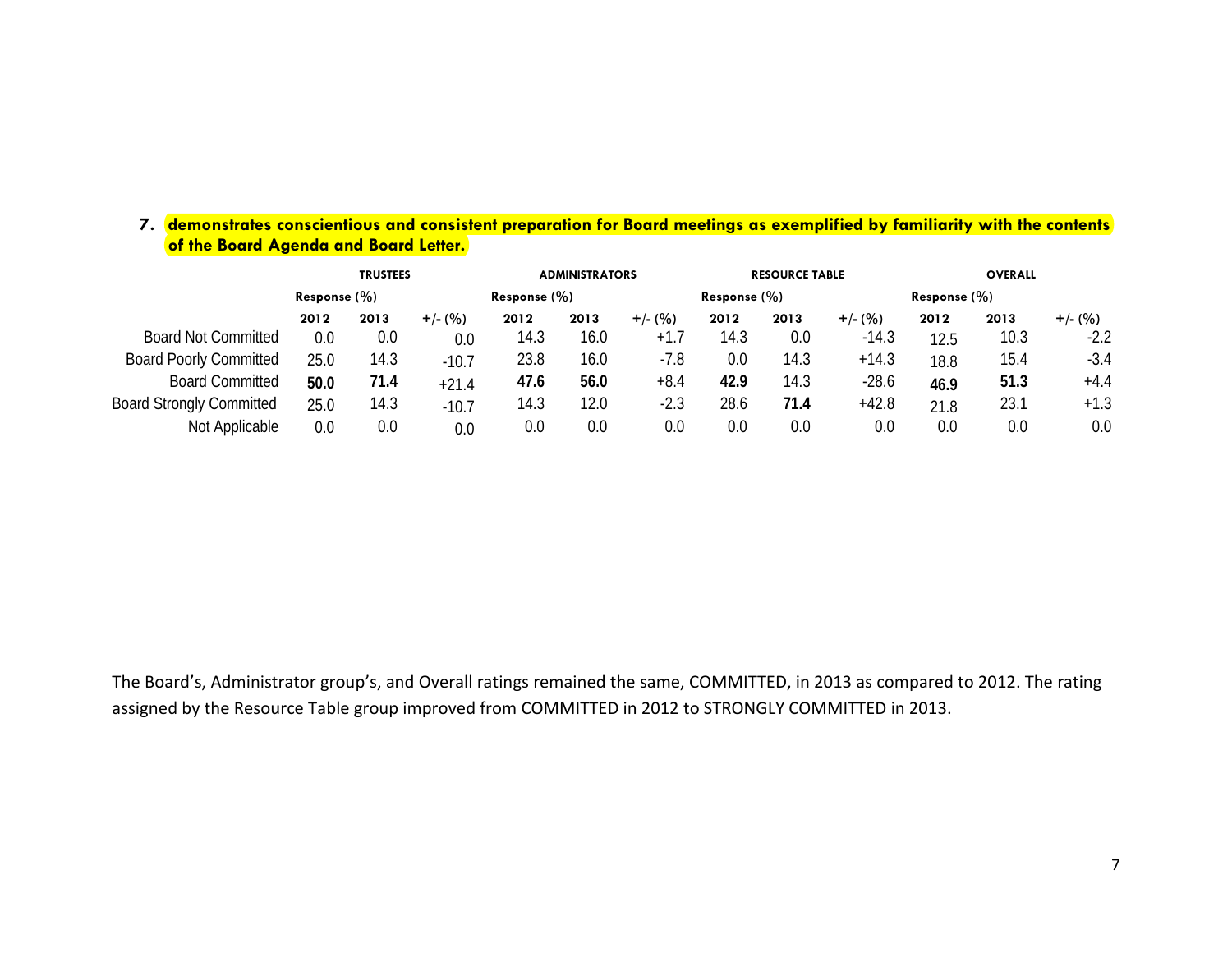| 7. demonstrates conscientious and consistent preparation for Board meetings as exemplified by familiarity with the contents |  |  |
|-----------------------------------------------------------------------------------------------------------------------------|--|--|
| of the Board Agenda and Board Letter.                                                                                       |  |  |

|                                 |                  | <b>TRUSTEES</b> |           |                 | <b>ADMINISTRATORS</b> |           |                 | <b>RESOURCE TABLE</b> |           |                  | <b>OVERALL</b> |           |
|---------------------------------|------------------|-----------------|-----------|-----------------|-----------------------|-----------|-----------------|-----------------------|-----------|------------------|----------------|-----------|
|                                 | Response $(\% )$ |                 |           | Response $(\%)$ |                       |           | Response $(\%)$ |                       |           | Response $(\% )$ |                |           |
|                                 | 2012             | 2013            | $+/-$ (%) | 2012            | 2013                  | $+/-$ (%) | 2012            | 2013                  | $+/-$ (%) | 2012             | 2013           | $+/-$ (%) |
| <b>Board Not Committed</b>      | 0.0              | 0.0             | 0.0       | 14.3            | 16.0                  | $+1.7$    | 14.3            | 0.0                   | $-14.3$   | 12.5             | 10.3           | $-2.2$    |
| <b>Board Poorly Committed</b>   | 25.0             | 14.3            | $-10.7$   | 23.8            | 16.0                  | -7.8      | 0.0             | 14.3                  | $+14.3$   | 18.8             | 15.4           | $-3.4$    |
| <b>Board Committed</b>          | 50.0             | 71.4            | $+21.4$   | 47.6            | 56.0                  | $+8.4$    | 42.9            | 14.3                  | $-28.6$   | 46.9             | 51.3           | $+4.4$    |
| <b>Board Strongly Committed</b> | 25.0             | 14.3            | $-10.7$   | 14.3            | 12.0                  | $-2.3$    | 28.6            | 71.4                  | $+42.8$   | 21.8             | 23.1           | $+1.3$    |
| Not Applicable                  | 0.0              | 0.0             | 0.0       | $0.0\,$         | 0.0                   | 0.0       | 0.0             | 0.0                   | 0.0       | 0.0              | 0.0            | 0.0       |

The Board's, Administrator group's, and Overall ratings remained the same, COMMITTED, in 2013 as compared to 2012. The rating assigned by the Resource Table group improved from COMMITTED in 2012 to STRONGLY COMMITTED in 2013.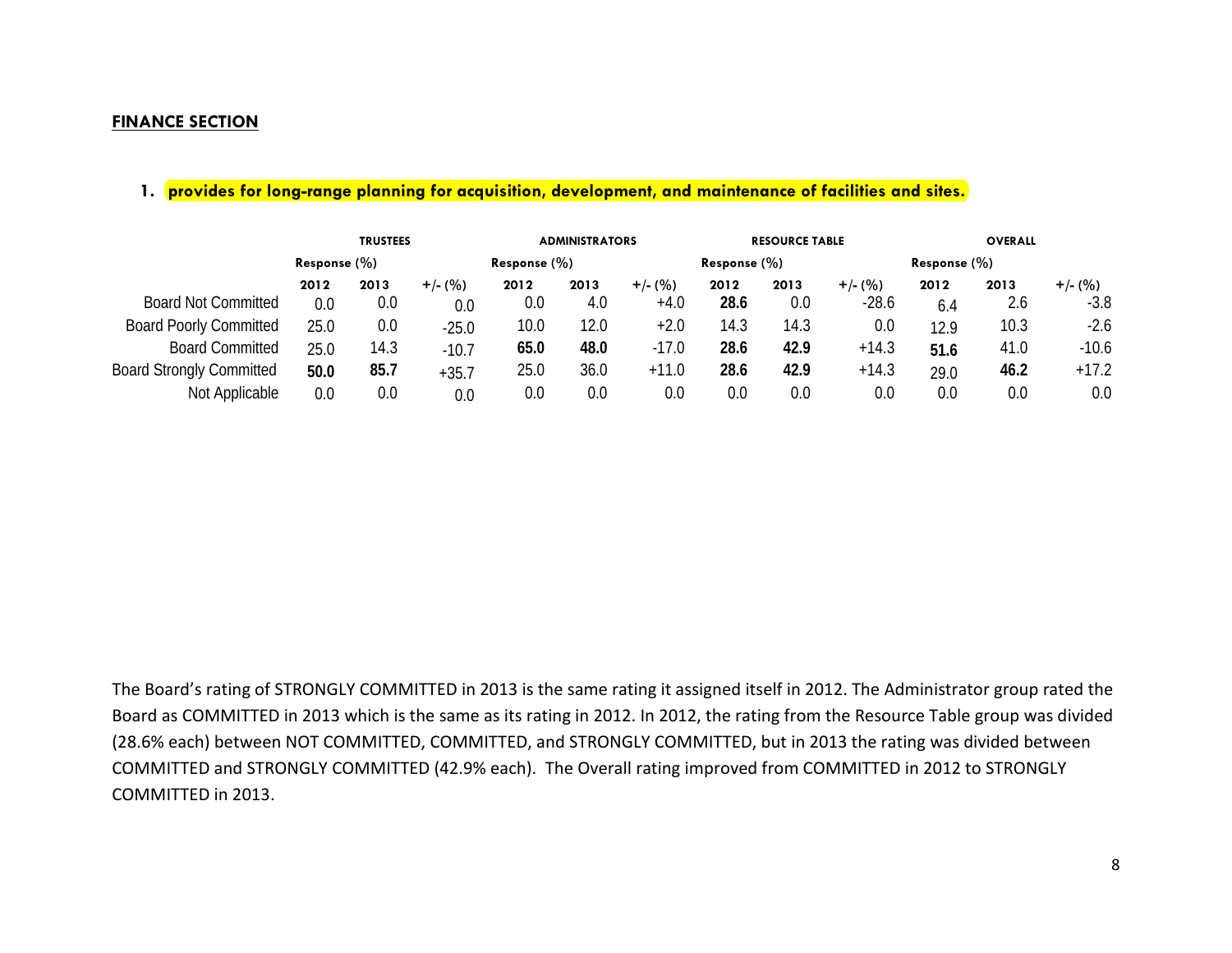#### **FINANCE SECTION**

#### **1. provides for long-range planning for acquisition, development, and maintenance of facilities and sites.**

|                                 |                 | <b>TRUSTEES</b> |           |                  | <b>ADMINISTRATORS</b> |           |                 | <b>RESOURCE TABLE</b> |           |                 | <b>OVERALL</b> |           |
|---------------------------------|-----------------|-----------------|-----------|------------------|-----------------------|-----------|-----------------|-----------------------|-----------|-----------------|----------------|-----------|
|                                 | Response $(\%)$ |                 |           | Response $(\% )$ |                       |           | Response $(\%)$ |                       |           | Response $(\%)$ |                |           |
|                                 | 2012            | 2013            | $+/- (%)$ | 2012             | 2013                  | $+/- (%)$ | 2012            | 2013                  | $+/-$ (%) | 2012            | 2013           | $+/-$ (%) |
| <b>Board Not Committed</b>      | 0.0             | 0.0             | 0.0       | 0.0              | 4.0                   | +4.0      | 28.6            | 0.0                   | $-28.6$   | 6.4             | 2.6            | $-3.8$    |
| <b>Board Poorly Committed</b>   | 25.0            | 0.0             | $-25.0$   | 10.0             | 12.0                  | $+2.0$    | 14.3            | 14.3                  | 0.0       | 12.9            | 10.3           | $-2.6$    |
| <b>Board Committed</b>          | 25.0            | 14.3            | $-10.7$   | 65.0             | 48.0                  | $-17.0$   | 28.6            | 42.9                  | $+14.3$   | 51.6            | 41.0           | $-10.6$   |
| <b>Board Strongly Committed</b> | 50.0            | 85.7            | $+35.7$   | 25.0             | 36.0                  | $+11.0$   | 28.6            | 42.9                  | $+14.3$   | 29.0            | 46.2           | $+17.2$   |
| Not Applicable                  | 0.0             | 0.0             | 0.0       | 0.0              | 0.0                   | 0.0       | 0.0             | 0.0                   | 0.0       | 0.0             | 0.0            | 0.0       |

The Board's rating of STRONGLY COMMITTED in 2013 is the same rating it assigned itself in 2012. The Administrator group rated the Board as COMMITTED in 2013 which is the same as its rating in 2012. In 2012, the rating from the Resource Table group was divided (28.6% each) between NOT COMMITTED, COMMITTED, and STRONGLY COMMITTED, but in 2013 the rating was divided between COMMITTED and STRONGLY COMMITTED (42.9% each). The Overall rating improved from COMMITTED in 2012 to STRONGLY COMMITTED in 2013.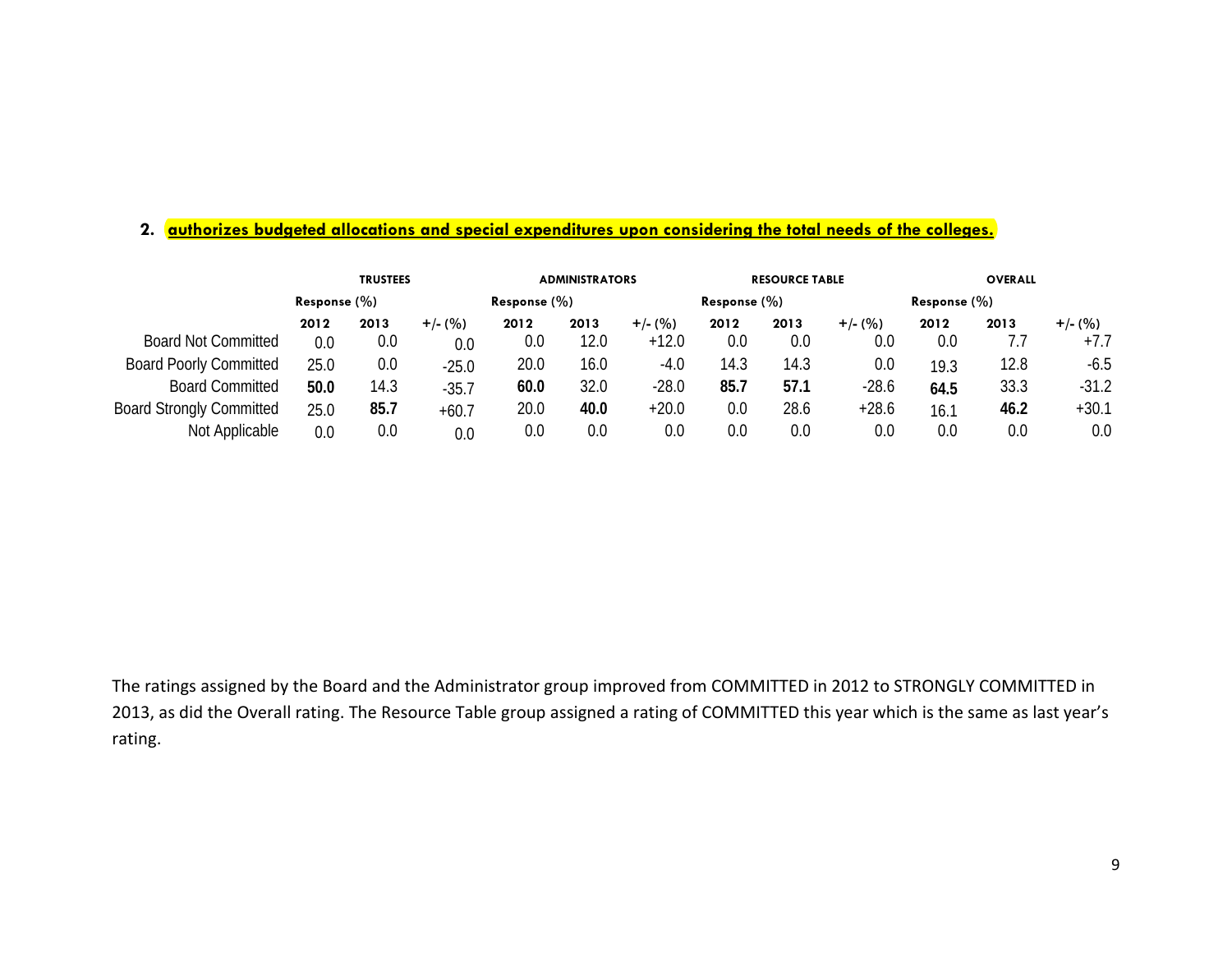### **2. authorizes budgeted allocations and special expenditures upon considering the total needs of the colleges.**

|                                 |                 | <b>TRUSTEES</b> |           |                 | <b>ADMINISTRATORS</b> |           |                 | <b>RESOURCE TABLE</b> |           |                 | <b>OVERALL</b> |           |
|---------------------------------|-----------------|-----------------|-----------|-----------------|-----------------------|-----------|-----------------|-----------------------|-----------|-----------------|----------------|-----------|
|                                 | Response $(\%)$ |                 |           | Response $(\%)$ |                       |           | Response $(\%)$ |                       |           | Response $(\%)$ |                |           |
|                                 | 2012            | 2013            | $+/-$ (%) | 2012            | 2013                  | $+/-$ (%) | 2012            | 2013                  | $+/- (%)$ | 2012            | 2013           | $+/-$ (%) |
| <b>Board Not Committed</b>      | 0.0             | 0.0             | 0.0       | 0.0             | 12.0                  | $+12.0$   | 0.0             | 0.0                   | 0.0       | 0.0             | 7.7            | $+7.7$    |
| <b>Board Poorly Committed</b>   | 25.0            | 0.0             | $-25.0$   | 20.0            | 16.0                  | $-4.0$    | 14.3            | 14.3                  | 0.0       | 19.3            | 12.8           | $-6.5$    |
| <b>Board Committed</b>          | 50.0            | 14.3            | $-35.7$   | 60.0            | 32.0                  | $-28.0$   | 85.7            | 57.1                  | $-28.6$   | 64.5            | 33.3           | $-31.2$   |
| <b>Board Strongly Committed</b> | 25.0            | 85.7            | $+60.7$   | 20.0            | 40.0                  | $+20.0$   | 0.0             | 28.6                  | $+28.6$   | 16.1            | 46.2           | $+30.1$   |
| Not Applicable                  | 0.0             | 0.0             | 0.0       | 0.0             | 0.0                   | 0.0       | 0.0             | 0.0                   | 0.0       | 0.0             | 0.0            | 0.0       |

The ratings assigned by the Board and the Administrator group improved from COMMITTED in 2012 to STRONGLY COMMITTED in 2013, as did the Overall rating. The Resource Table group assigned a rating of COMMITTED this year which is the same as last year's rating.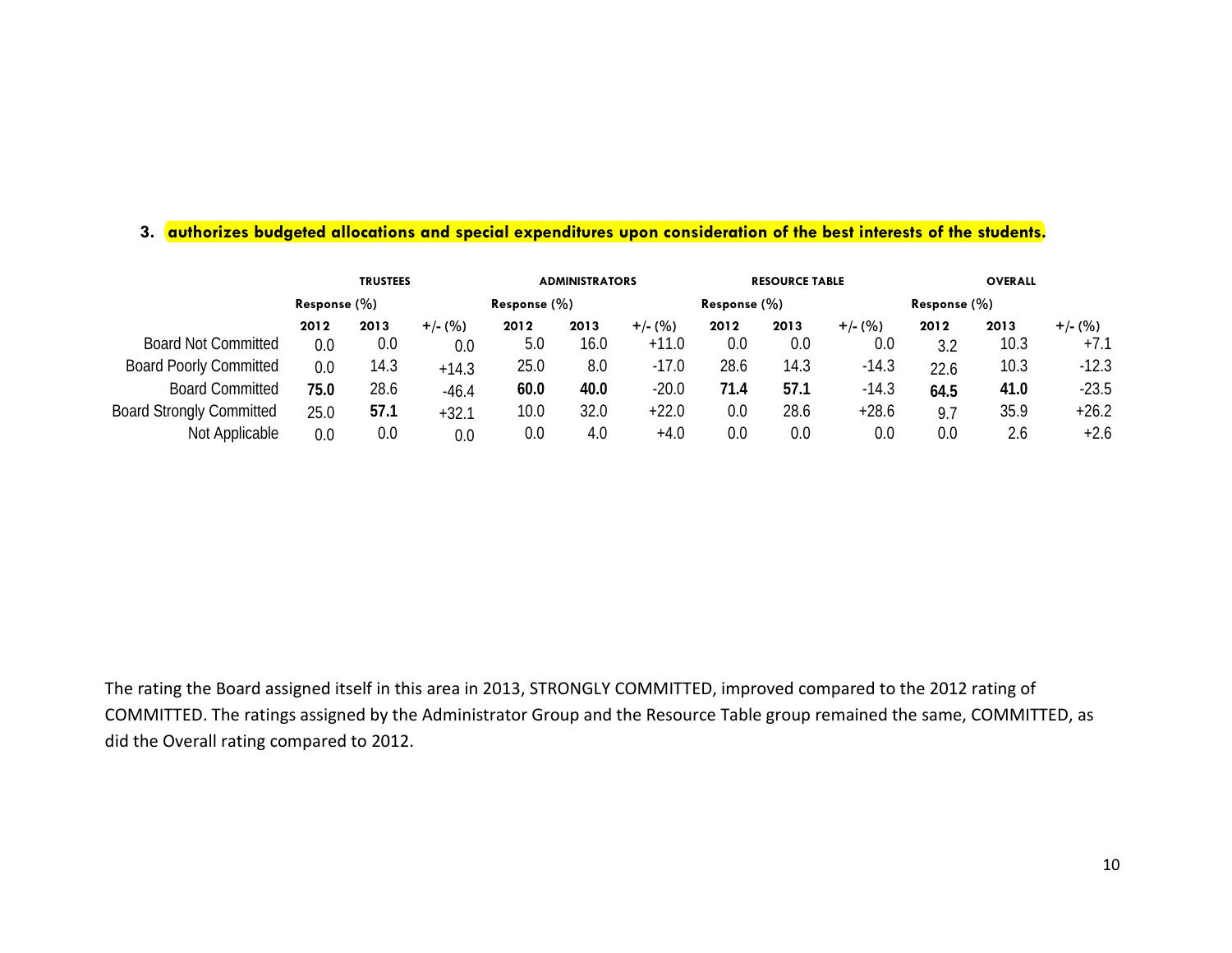## **3. authorizes budgeted allocations and special expenditures upon consideration of the best interests of the students.**

|                                 |      | <b>TRUSTEES</b> |           |      | <b>ADMINISTRATORS</b> |           |              | <b>RESOURCE TABLE</b> |           |                 | <b>OVERALL</b> |           |
|---------------------------------|------|-----------------|-----------|------|-----------------------|-----------|--------------|-----------------------|-----------|-----------------|----------------|-----------|
|                                 |      | Response $(\%)$ |           |      | Response $(\%)$       |           | Response (%) |                       |           | Response $(\%)$ |                |           |
|                                 | 2012 | 2013            | $+/-$ (%) | 2012 | 2013                  | $+/-$ (%) | 2012         | 2013                  | $+/-$ (%) | 2012            | 2013           | $+/-$ (%) |
| <b>Board Not Committed</b>      | 0.0  | 0.0             | 0.0       | 5.0  | 16.0                  | $+11.0$   | 0.0          | 0.0                   | 0.0       | 3.2             | 10.3           | $+7.1$    |
| <b>Board Poorly Committed</b>   | 0.0  | 14.3            | $+14.3$   | 25.0 | 8.0                   | $-17.0$   | 28.6         | 14.3                  | $-14.3$   | 22.6            | 10.3           | $-12.3$   |
| <b>Board Committed</b>          | 75.0 | 28.6            | $-46.4$   | 60.0 | 40.0                  | $-20.0$   | 71.4         | 57.1                  | $-14.3$   | 64.5            | 41.0           | $-23.5$   |
| <b>Board Strongly Committed</b> | 25.0 | 57.1            | $+32.1$   | 10.0 | 32.0                  | $+22.0$   | 0.0          | 28.6                  | $+28.6$   | 9.7             | 35.9           | $+26.2$   |
| Not Applicable                  | 0.0  | 0.0             | 0.0       | 0.0  | 4.0                   | $+4.0$    | 0.0          | 0.0                   | 0.0       | 0.0             | 2.6            | $+2.6$    |

The rating the Board assigned itself in this area in 2013, STRONGLY COMMITTED, improved compared to the 2012 rating of COMMITTED. The ratings assigned by the Administrator Group and the Resource Table group remained the same, COMMITTED, as did the Overall rating compared to 2012.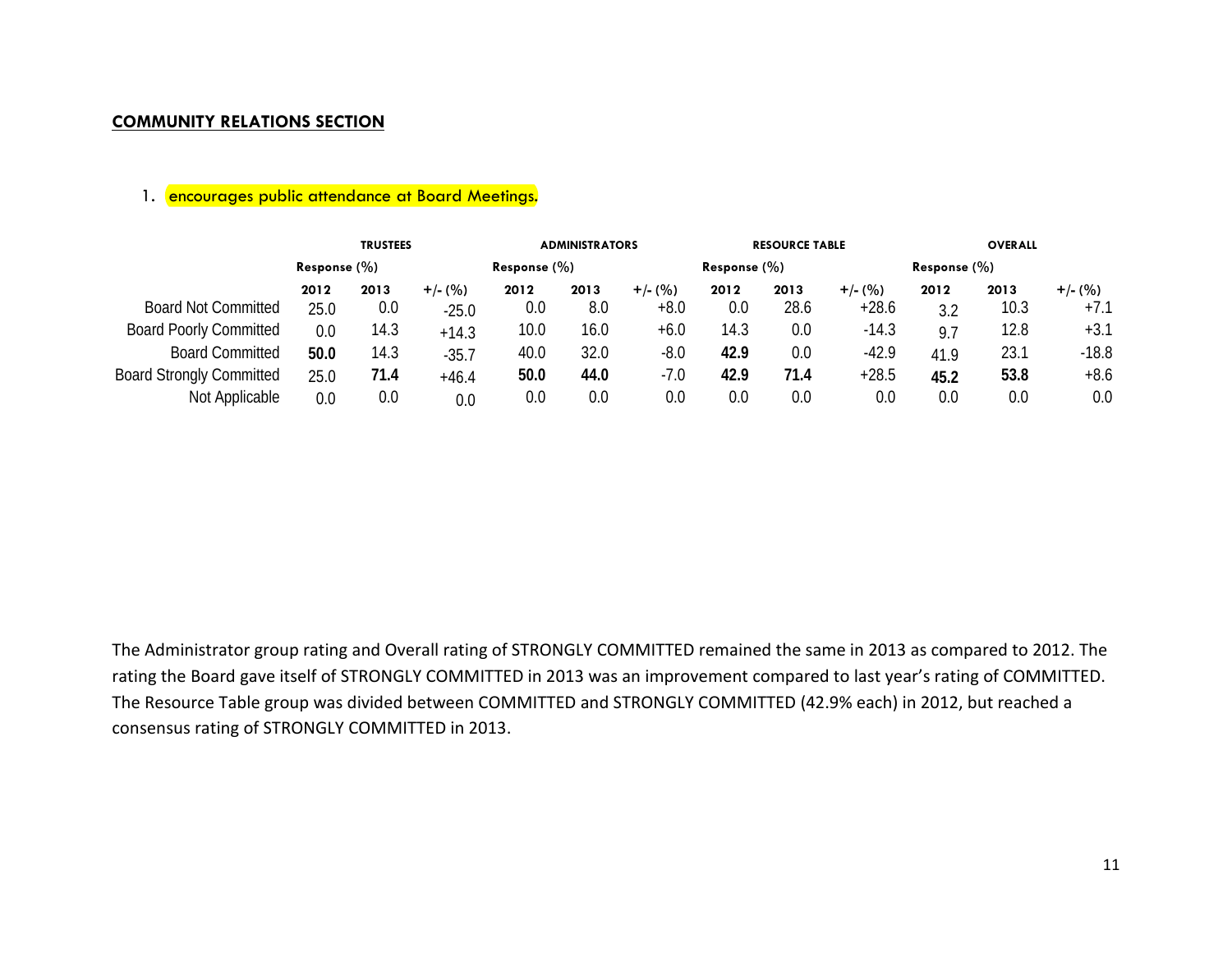#### **COMMUNITY RELATIONS SECTION**

## 1. encourages public attendance at Board Meetings.

|                                 |                  | <b>TRUSTEES</b> |           |                 | <b>ADMINISTRATORS</b> |           |                  | <b>RESOURCE TABLE</b> |           |                 | <b>OVERALL</b> |           |
|---------------------------------|------------------|-----------------|-----------|-----------------|-----------------------|-----------|------------------|-----------------------|-----------|-----------------|----------------|-----------|
|                                 | Response $(\% )$ |                 |           | Response $(\%)$ |                       |           | Response $(\% )$ |                       |           | Response $(\%)$ |                |           |
|                                 | 2012             | 2013            | $+/-$ (%) | 2012            | 2013                  | $+/-$ (%) | 2012             | 2013                  | $+/-$ (%) | 2012            | 2013           | $+/-$ (%) |
| <b>Board Not Committed</b>      | 25.0             | 0.0             | $-25.0$   | 0.0             | 8.0                   | $+8.0$    | 0.0              | 28.6                  | $+28.6$   | 3.2             | 10.3           | $+7.1$    |
| <b>Board Poorly Committed</b>   | 0.0              | 14.3            | $+14.3$   | 10.0            | 16.0                  | $+6.0$    | 14.3             | 0.0                   | $-14.3$   | 9.7             | 12.8           | $+3.1$    |
| <b>Board Committed</b>          | 50.0             | 14.3            | $-35.7$   | 40.0            | 32.0                  | $-8.0$    | 42.9             | 0.0                   | $-42.9$   | 41.9            | 23.1           | $-18.8$   |
| <b>Board Strongly Committed</b> | 25.0             | 71.4            | $+46.4$   | 50.0            | 44.0                  | $-7.0$    | 42.9             | 71.4                  | $+28.5$   | 45.2            | 53.8           | +8.6      |
| Not Applicable                  | 0.0              | 0.0             | 0.0       | 0.0             | 0.0                   | 0.0       | 0.0              | 0.0                   | 0.0       | 0.0             | 0.0            | 0.0       |

The Administrator group rating and Overall rating of STRONGLY COMMITTED remained the same in 2013 as compared to 2012. The rating the Board gave itself of STRONGLY COMMITTED in 2013 was an improvement compared to last year's rating of COMMITTED. The Resource Table group was divided between COMMITTED and STRONGLY COMMITTED (42.9% each) in 2012, but reached a consensus rating of STRONGLY COMMITTED in 2013.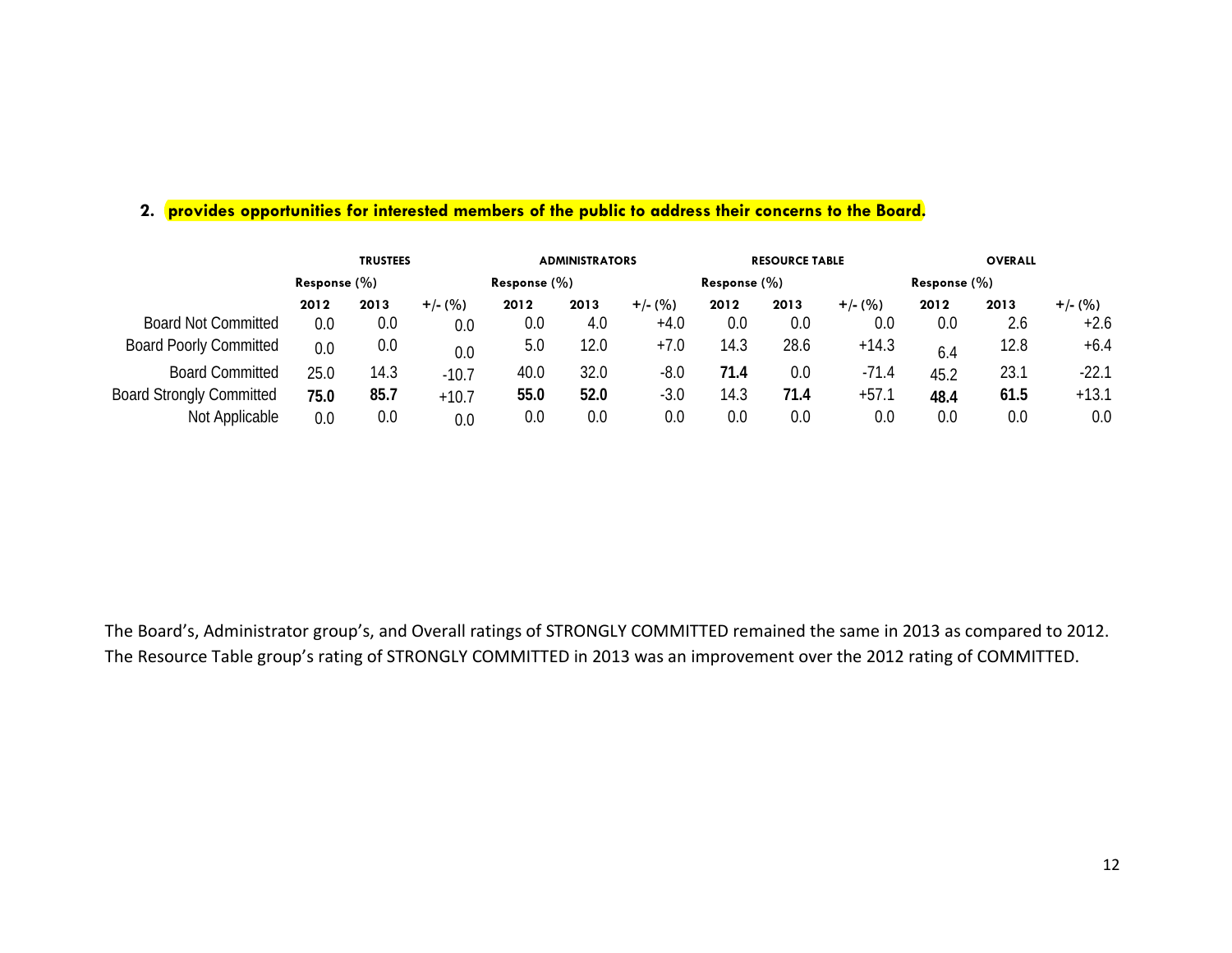## **2. provides opportunities for interested members of the public to address their concerns to the Board.**

|                                 |                 | <b>TRUSTEES</b> |           |                 | <b>ADMINISTRATORS</b> |           |                 | <b>RESOURCE TABLE</b> |           |                 | <b>OVERALL</b> |           |
|---------------------------------|-----------------|-----------------|-----------|-----------------|-----------------------|-----------|-----------------|-----------------------|-----------|-----------------|----------------|-----------|
|                                 | Response $(\%)$ |                 |           | Response $(\%)$ |                       |           | Response $(\%)$ |                       |           | Response $(\%)$ |                |           |
|                                 | 2012            | 2013            | $+/- (%)$ | 2012            | 2013                  | $+/-$ (%) | 2012            | 2013                  | $+/-$ (%) | 2012            | 2013           | $+/-$ (%) |
| <b>Board Not Committed</b>      | 0.0             | 0.0             | 0.0       | 0.0             | 4.0                   | $+4.0$    | 0.0             | $0.0\,$               | 0.0       | 0.0             | 2.6            | $+2.6$    |
| <b>Board Poorly Committed</b>   | 0.0             | 0.0             | 0.0       | 5.0             | 12.0                  | $+7.0$    | 14.3            | 28.6                  | $+14.3$   | 6.4             | 12.8           | $+6.4$    |
| <b>Board Committed</b>          | 25.0            | 14.3            | $-10.7$   | 40.0            | 32.0                  | $-8.0$    | 71.4            | 0.0                   | $-71.4$   | 45.2            | 23.1           | $-22.1$   |
| <b>Board Strongly Committed</b> | 75.0            | 85.7            | $+10.7$   | 55.0            | 52.0                  | $-3.0$    | 14.3            | 71.4                  | $+57.1$   | 48.4            | 61.5           | $+13.1$   |
| Not Applicable                  | 0.0             | 0.0             | 0.0       | 0.0             | 0.0                   | 0.0       | 0.0             | 0.0                   | 0.0       | 0.0             | 0.0            | 0.0       |

The Board's, Administrator group's, and Overall ratings of STRONGLY COMMITTED remained the same in 2013 as compared to 2012. The Resource Table group's rating of STRONGLY COMMITTED in 2013 was an improvement over the 2012 rating of COMMITTED.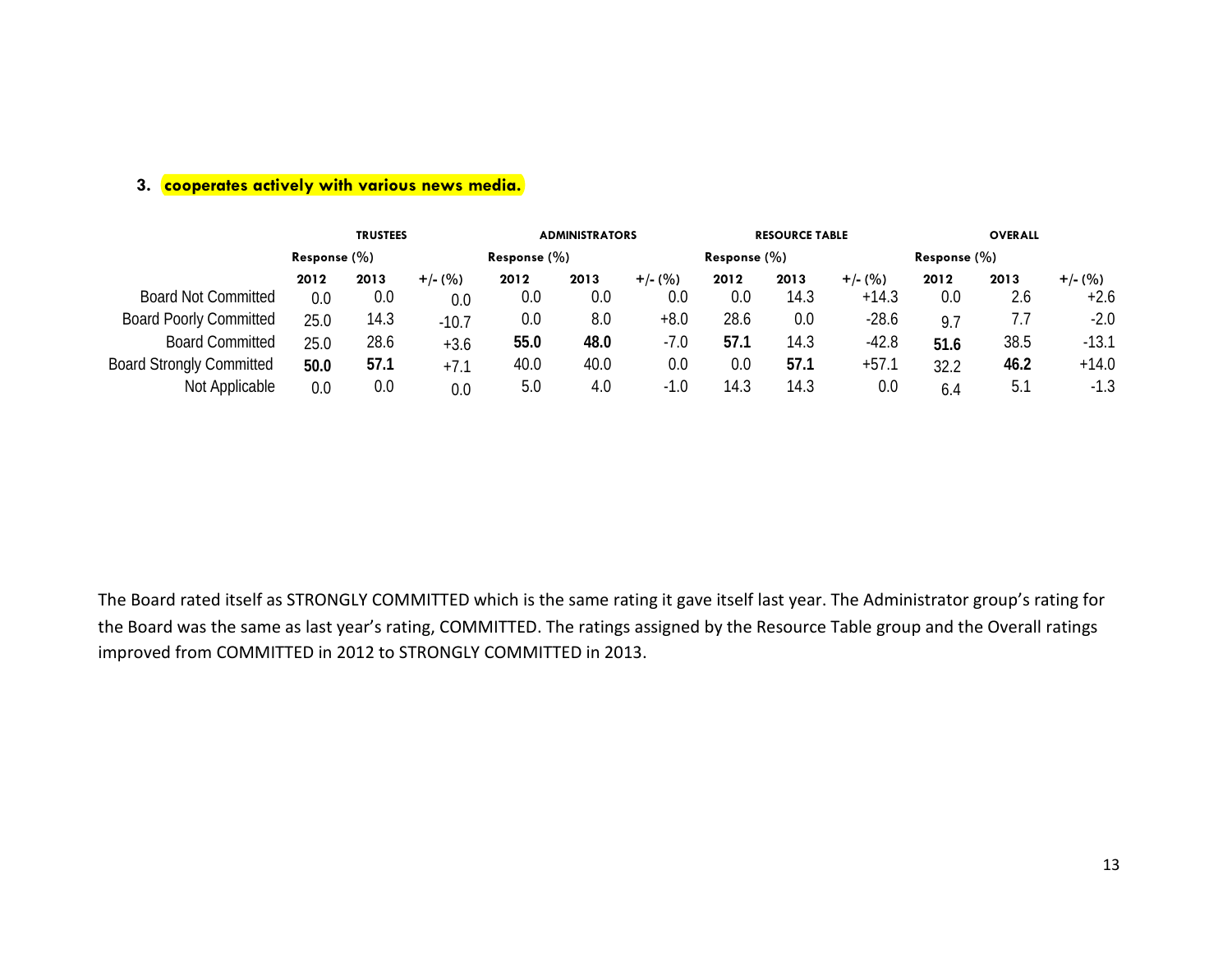# **3. cooperates actively with various news media.**

|                                 |                 | <b>TRUSTEES</b> |           |                 | <b>ADMINISTRATORS</b> |           |                 | <b>RESOURCE TABLE</b> |           |                 | <b>OVERALL</b> |           |
|---------------------------------|-----------------|-----------------|-----------|-----------------|-----------------------|-----------|-----------------|-----------------------|-----------|-----------------|----------------|-----------|
|                                 | Response $(\%)$ |                 |           | Response $(\%)$ |                       |           | Response $(\%)$ |                       |           | Response $(\%)$ |                |           |
|                                 | 2012            | 2013            | $+/-$ (%) | 2012            | 2013                  | $+/-$ (%) | 2012            | 2013                  | $+/-$ (%) | 2012            | 2013           | $+/-$ (%) |
| <b>Board Not Committed</b>      | 0.0             | 0.0             | 0.0       | 0.0             | 0.0                   | 0.0       | 0.0             | 14.3                  | $+14.3$   | 0.0             | 2.6            | $+2.6$    |
| <b>Board Poorly Committed</b>   | 25.0            | 14.3            | $-10.7$   | 0.0             | 8.0                   | $+8.0$    | 28.6            | 0.0                   | $-28.6$   | 9.7             | 7.7            | $-2.0$    |
| <b>Board Committed</b>          | 25.0            | 28.6            | $+3.6$    | 55.0            | 48.0                  | $-7.0$    | 57.1            | 14.3                  | $-42.8$   | 51.6            | 38.5           | $-13.1$   |
| <b>Board Strongly Committed</b> | 50.0            | 57.1            | $+7.1$    | 40.0            | 40.0                  | 0.0       | 0.0             | 57.1                  | $+57.1$   | 32.2            | 46.2           | $+14.0$   |
| Not Applicable                  | 0.0             | 0.0             | 0.0       | 5.0             | 4.0                   | $-1.0$    | 14.3            | 14.3                  | 0.0       | 6.4             | 5.1            | $-1.3$    |

The Board rated itself as STRONGLY COMMITTED which is the same rating it gave itself last year. The Administrator group's rating for the Board was the same as last year's rating, COMMITTED. The ratings assigned by the Resource Table group and the Overall ratings improved from COMMITTED in 2012 to STRONGLY COMMITTED in 2013.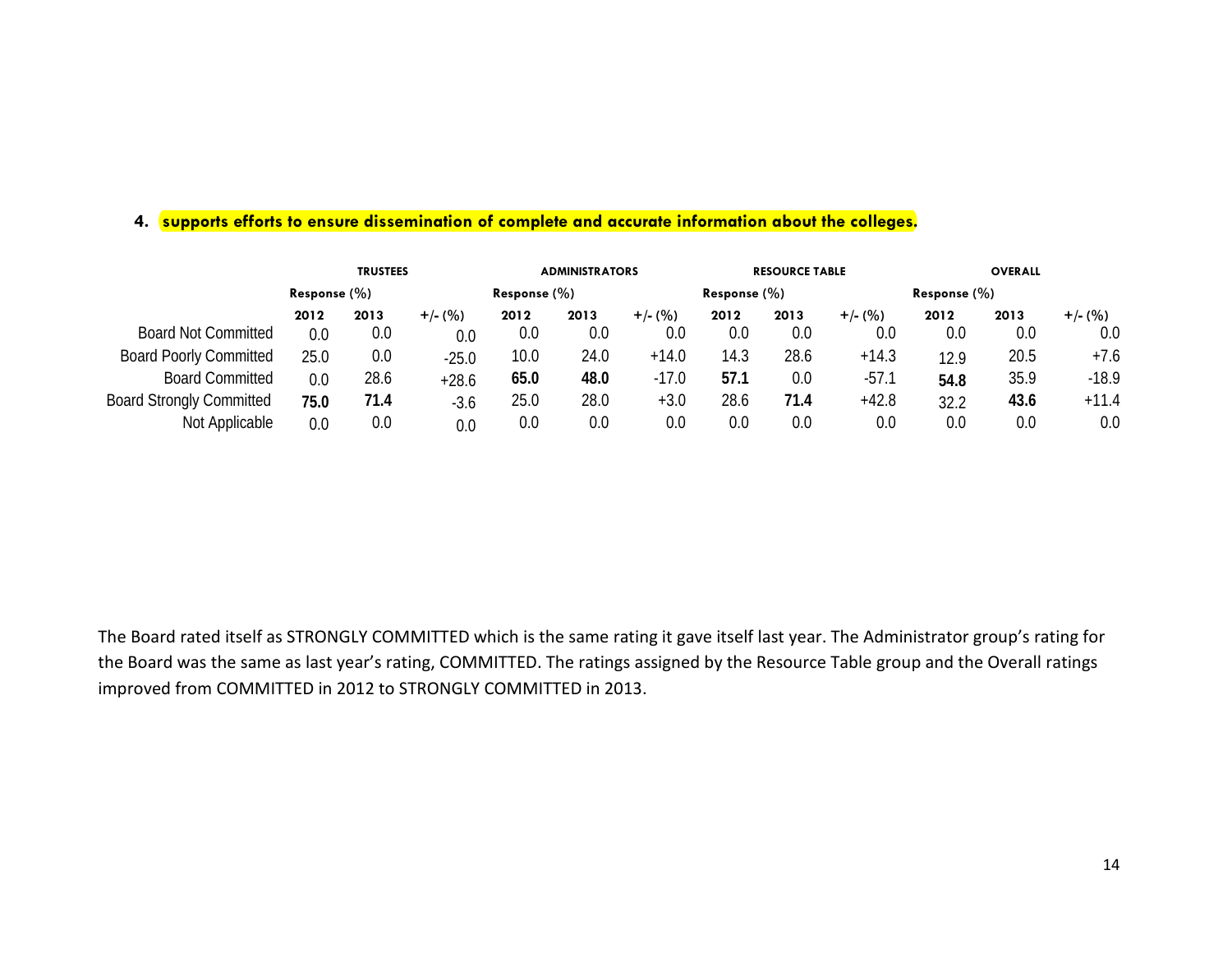# **4. supports efforts to ensure dissemination of complete and accurate information about the colleges.**

|                                 |      | <b>TRUSTEES</b> |           |         | <b>ADMINISTRATORS</b> |           |                 | <b>RESOURCE TABLE</b> |           |                 | <b>OVERALL</b> |           |
|---------------------------------|------|-----------------|-----------|---------|-----------------------|-----------|-----------------|-----------------------|-----------|-----------------|----------------|-----------|
|                                 |      | Response $(\%)$ |           |         | Response $(\%)$       |           | Response $(\%)$ |                       |           | Response $(\%)$ |                |           |
|                                 | 2012 | 2013            | $+/-$ (%) | 2012    | 2013                  | $+/-$ (%) | 2012            | 2013                  | $+/-$ (%) | 2012            | 2013           | $+/-$ (%) |
| <b>Board Not Committed</b>      | 0.0  | 0.0             | 0.0       | 0.0     | 0.0                   | 0.0       | 0.0             | 0.0                   | 0.0       | 0.0             | 0.0            | 0.0       |
| <b>Board Poorly Committed</b>   | 25.0 | 0.0             | $-25.0$   | 10.0    | 24.0                  | $+14.0$   | 14.3            | 28.6                  | $+14.3$   | 12.9            | 20.5           | $+7.6$    |
| <b>Board Committed</b>          | 0.0  | 28.6            | $+28.6$   | 65.0    | 48.0                  | $-17.0$   | 57.1            | 0.0                   | $-57.1$   | 54.8            | 35.9           | $-18.9$   |
| <b>Board Strongly Committed</b> | 75.0 | 71.4            | $-3.6$    | 25.0    | 28.0                  | $+3.0$    | 28.6            | 71.4                  | $+42.8$   | 32.2            | 43.6           | $+11.4$   |
| Not Applicable                  | 0.0  | 0.0             | 0.0       | $0.0\,$ | 0.0                   | 0.0       | 0.0             | 0.0                   | 0.0       | 0.0             | 0.0            | 0.0       |

The Board rated itself as STRONGLY COMMITTED which is the same rating it gave itself last year. The Administrator group's rating for the Board was the same as last year's rating, COMMITTED. The ratings assigned by the Resource Table group and the Overall ratings improved from COMMITTED in 2012 to STRONGLY COMMITTED in 2013.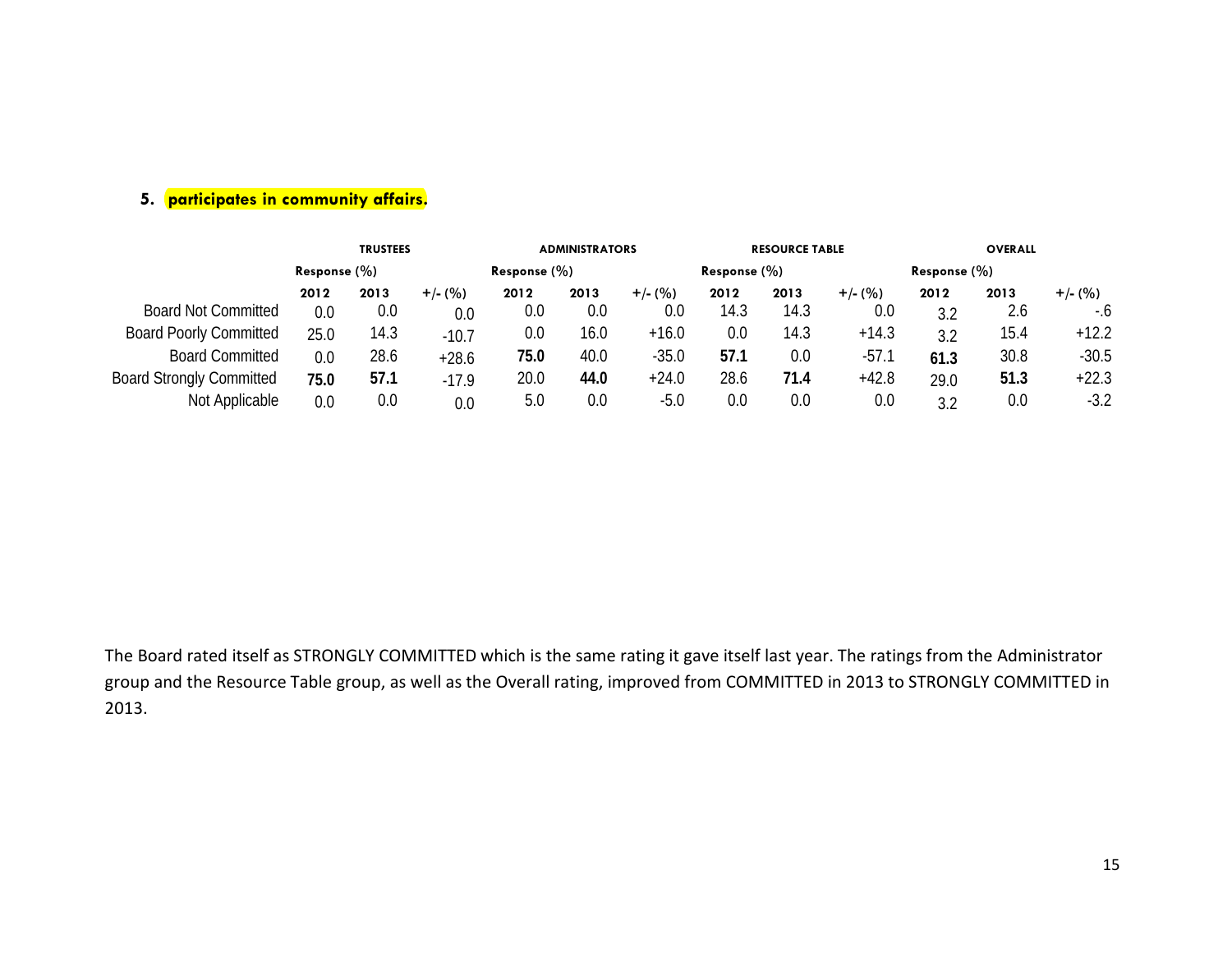# **5. participates in community affairs.**

|                                 |      | <b>TRUSTEES</b><br>Response $(\%)$ |           |      | <b>ADMINISTRATORS</b> |           |                  | <b>RESOURCE TABLE</b> |           |                 | <b>OVERALL</b> |           |
|---------------------------------|------|------------------------------------|-----------|------|-----------------------|-----------|------------------|-----------------------|-----------|-----------------|----------------|-----------|
|                                 |      |                                    |           |      | Response $(\%)$       |           | Response $(\% )$ |                       |           | Response $(\%)$ |                |           |
|                                 | 2012 | 2013                               | $+/-$ (%) | 2012 | 2013                  | $+/-$ (%) | 2012             | 2013                  | $+/-$ (%) | 2012            | 2013           | $+/-$ (%) |
| <b>Board Not Committed</b>      | 0.0  | 0.0                                | 0.0       | 0.0  | 0.0                   | 0.0       | 14.3             | 14.3                  | 0.0       | 3.2             | 2.6            | -.6       |
| <b>Board Poorly Committed</b>   | 25.0 | 14.3                               | $-10.7$   | 0.0  | 16.0                  | $+16.0$   | 0.0              | 14.3                  | $+14.3$   | 3.2             | 15.4           | $+12.2$   |
| <b>Board Committed</b>          | 0.0  | 28.6                               | $+28.6$   | 75.0 | 40.0                  | $-35.0$   | 57.1             | 0.0                   | $-57.1$   | 61.3            | 30.8           | $-30.5$   |
| <b>Board Strongly Committed</b> | 75.0 | 57.1                               | $-17.9$   | 20.0 | 44.0                  | $+24.0$   | 28.6             | 71.4                  | $+42.8$   | 29.0            | 51.3           | $+22.3$   |
| Not Applicable                  | 0.0  | 0.0                                | 0.0       | 5.0  | 0.0                   | $-5.0$    | 0.0              | 0.0                   | 0.0       | 3.2             | 0.0            | $-3.2$    |

The Board rated itself as STRONGLY COMMITTED which is the same rating it gave itself last year. The ratings from the Administrator group and the Resource Table group, as well as the Overall rating, improved from COMMITTED in 2013 to STRONGLY COMMITTED in 2013.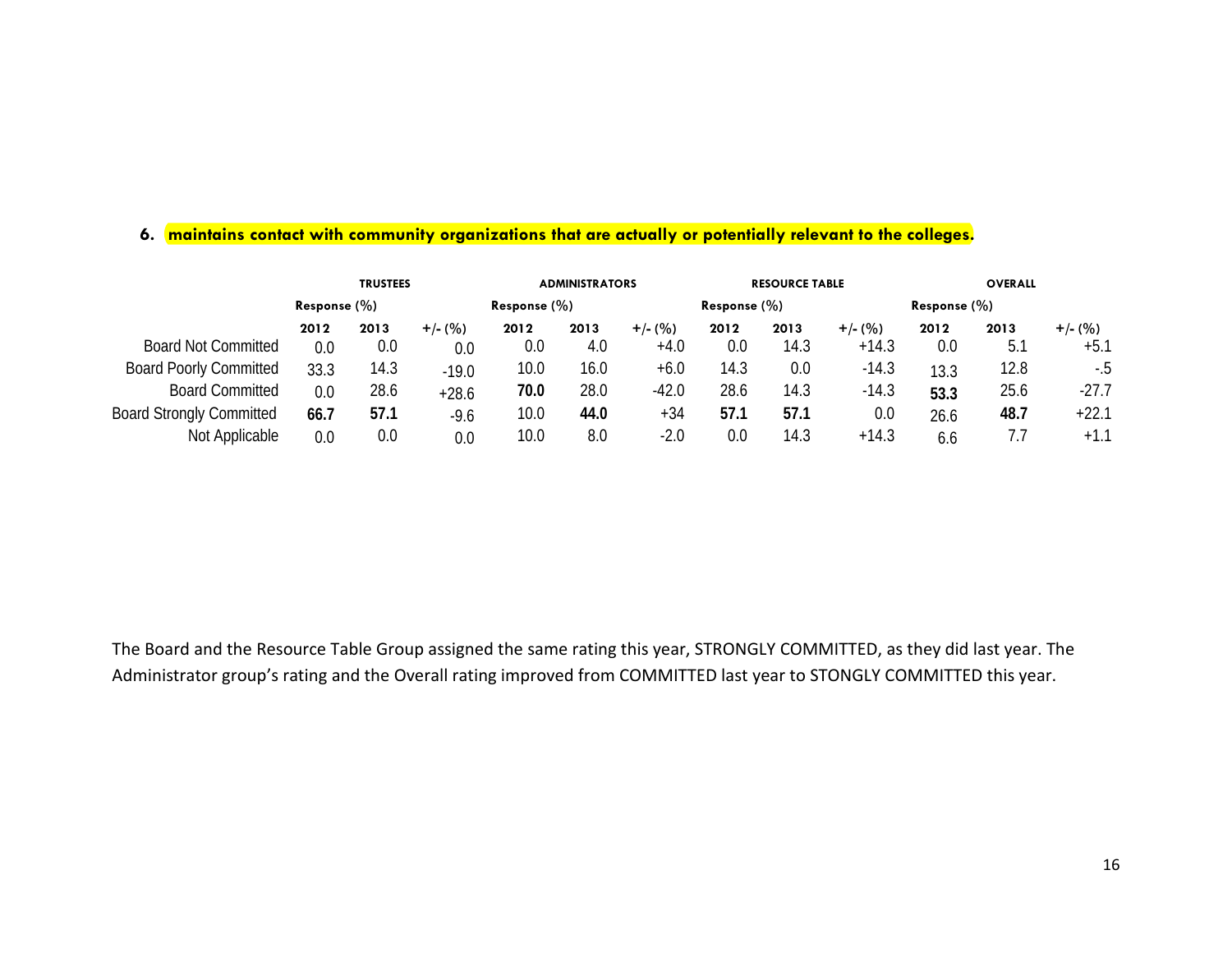# **6. maintains contact with community organizations that are actually or potentially relevant to the colleges.**

|                                 |      | <b>TRUSTEES</b> |           |      | <b>ADMINISTRATORS</b> |           |              | <b>RESOURCE TABLE</b> |           |                 | <b>OVERALL</b> |           |
|---------------------------------|------|-----------------|-----------|------|-----------------------|-----------|--------------|-----------------------|-----------|-----------------|----------------|-----------|
|                                 |      | Response $(\%)$ |           |      | Response $(\%)$       |           | Response (%) |                       |           | Response $(\%)$ |                |           |
|                                 | 2012 | 2013            | $+/-$ (%) | 2012 | 2013                  | $+/-$ (%) | 2012         | 2013                  | $+/-$ (%) | 2012            | 2013           | $+/-$ (%) |
| <b>Board Not Committed</b>      | 0.0  | 0.0             | 0.0       | 0.0  | 4.0                   | $+4.0$    | 0.0          | 14.3                  | $+14.3$   | 0.0             | 5.1            | $+5.1$    |
| <b>Board Poorly Committed</b>   | 33.3 | 14.3            | $-19.0$   | 10.0 | 16.0                  | $+6.0$    | 14.3         | 0.0                   | $-14.3$   | 13.3            | 12.8           | -.5       |
| <b>Board Committed</b>          | 0.0  | 28.6            | $+28.6$   | 70.0 | 28.0                  | $-42.0$   | 28.6         | 14.3                  | $-14.3$   | 53.3            | 25.6           | $-27.7$   |
| <b>Board Strongly Committed</b> | 66.7 | 57.1            | $-9.6$    | 10.0 | 44.0                  | +34       | 57.1         | 57.1                  | 0.0       | 26.6            | 48.7           | $+22.1$   |
| Not Applicable                  | 0.0  | 0.0             | 0.0       | 10.0 | 8.0                   | $-2.0$    | 0.0          | 14.3                  | $+14.3$   | 6.6             | 7.7            | $+1.1$    |

The Board and the Resource Table Group assigned the same rating this year, STRONGLY COMMITTED, as they did last year. The Administrator group's rating and the Overall rating improved from COMMITTED last year to STONGLY COMMITTED this year.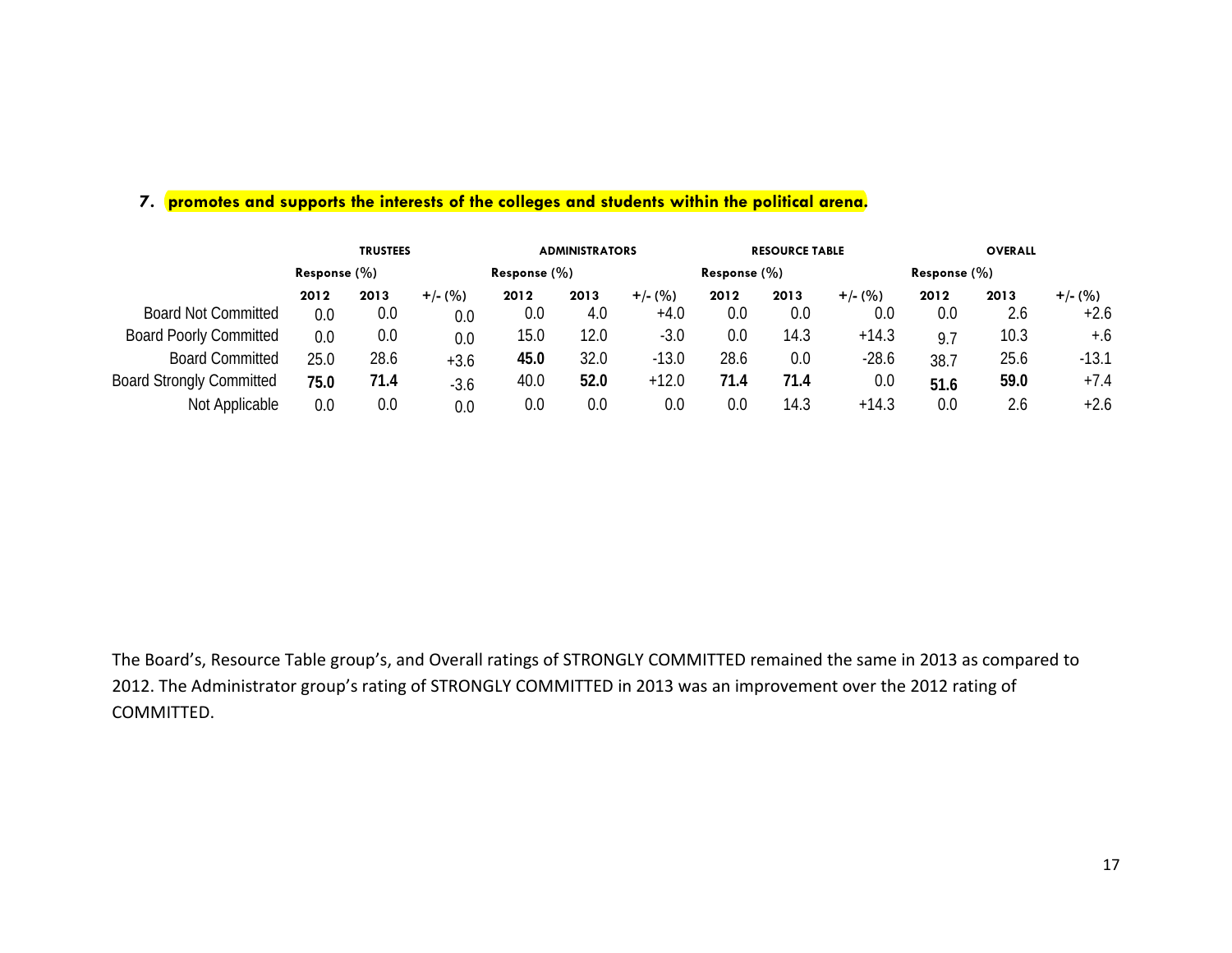# **7. promotes and supports the interests of the colleges and students within the political arena.**

|                                 |                  | <b>TRUSTEES</b> |           |                 | <b>ADMINISTRATORS</b> |           |                 | <b>RESOURCE TABLE</b> |           |                 | <b>OVERALL</b> |           |
|---------------------------------|------------------|-----------------|-----------|-----------------|-----------------------|-----------|-----------------|-----------------------|-----------|-----------------|----------------|-----------|
|                                 | Response $(\% )$ |                 |           | Response $(\%)$ |                       |           | Response $(\%)$ |                       |           | Response $(\%)$ |                |           |
|                                 | 2012             | 2013            | $+/- (%)$ | 2012            | 2013                  | $+/-$ (%) | 2012            | 2013                  | $+/-$ (%) | 2012            | 2013           | $+/-$ (%) |
| <b>Board Not Committed</b>      | 0.0              | 0.0             | 0.0       | 0.0             | 4.0                   | +4.0      | 0.0             | 0.0                   | 0.0       | 0.0             | 2.6            | $+2.6$    |
| <b>Board Poorly Committed</b>   | 0.0              | 0.0             | 0.0       | 15.0            | 12.0                  | $-3.0$    | 0.0             | 14.3                  | $+14.3$   | 9.7             | 10.3           | $+0.6$    |
| <b>Board Committed</b>          | 25.0             | 28.6            | $+3.6$    | 45.0            | 32.0                  | $-13.0$   | 28.6            | 0.0                   | $-28.6$   | 38.7            | 25.6           | $-13.1$   |
| <b>Board Strongly Committed</b> | 75.0             | 71.4            | $-3.6$    | 40.0            | 52.0                  | $+12.0$   | 71.4            | 71.4                  | 0.0       | 51.6            | 59.0           | $+7.4$    |
| Not Applicable                  | 0.0              | 0.0             | 0.0       | 0.0             | 0.0                   | 0.0       | 0.0             | 14.3                  | $+14.3$   | 0.0             | 2.6            | $+2.6$    |

The Board's, Resource Table group's, and Overall ratings of STRONGLY COMMITTED remained the same in 2013 as compared to 2012. The Administrator group's rating of STRONGLY COMMITTED in 2013 was an improvement over the 2012 rating of COMMITTED.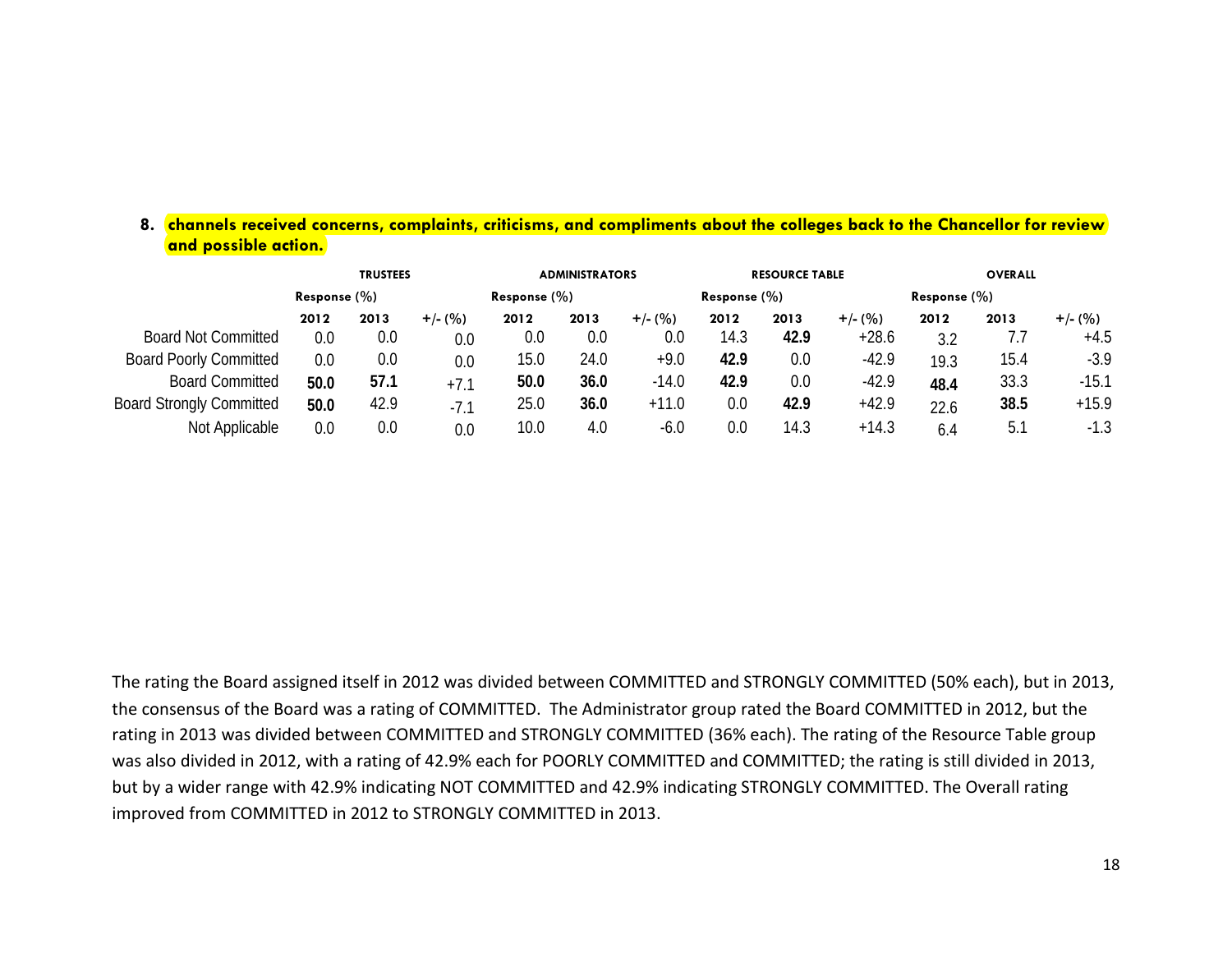#### **8. channels received concerns, complaints, criticisms, and compliments about the colleges back to the Chancellor for review and possible action.**

|                                 |      | <b>TRUSTEES</b> |           |      | <b>ADMINISTRATORS</b> |           |                 | <b>RESOURCE TABLE</b> |           |                 | <b>OVERALL</b> |           |
|---------------------------------|------|-----------------|-----------|------|-----------------------|-----------|-----------------|-----------------------|-----------|-----------------|----------------|-----------|
|                                 |      | Response $(\%)$ |           |      | Response $(\%)$       |           | Response $(\%)$ |                       |           | Response $(\%)$ |                |           |
|                                 | 2012 | 2013            | $+/-$ (%) | 2012 | 2013                  | $+/-$ (%) | 2012            | 2013                  | $+/-$ (%) | 2012            | 2013           | $+/-$ (%) |
| <b>Board Not Committed</b>      | 0.0  | 0.0             | $0.0\,$   | 0.0  | 0.0                   | 0.0       | 14.3            | 42.9                  | $+28.6$   | 3.2             | $\frac{1}{2}$  | $+4.5$    |
| <b>Board Poorly Committed</b>   | 0.0  | 0.0             | 0.0       | 15.0 | 24.0                  | $+9.0$    | 42.9            | 0.0                   | $-42.9$   | 19.3            | 15.4           | $-3.9$    |
| <b>Board Committed</b>          | 50.0 | 57.1            | +7.1      | 50.0 | 36.0                  | $-14.0$   | 42.9            | 0.0                   | $-42.9$   | 48.4            | 33.3           | $-15.1$   |
| <b>Board Strongly Committed</b> | 50.0 | 42.9            | $-7.1$    | 25.0 | 36.0                  | $+11.0$   | 0.0             | 42.9                  | $+42.9$   | 22.6            | 38.5           | $+15.9$   |
| Not Applicable                  | 0.0  | 0.0             | 0.0       | 10.0 | 4.0                   | $-6.0$    | 0.0             | 14.3                  | $+14.3$   | 6.4             | 5.1            | $-1.3$    |

The rating the Board assigned itself in 2012 was divided between COMMITTED and STRONGLY COMMITTED (50% each), but in 2013, the consensus of the Board was a rating of COMMITTED. The Administrator group rated the Board COMMITTED in 2012, but the rating in 2013 was divided between COMMITTED and STRONGLY COMMITTED (36% each). The rating of the Resource Table group was also divided in 2012, with a rating of 42.9% each for POORLY COMMITTED and COMMITTED; the rating is still divided in 2013, but by a wider range with 42.9% indicating NOT COMMITTED and 42.9% indicating STRONGLY COMMITTED. The Overall rating improved from COMMITTED in 2012 to STRONGLY COMMITTED in 2013.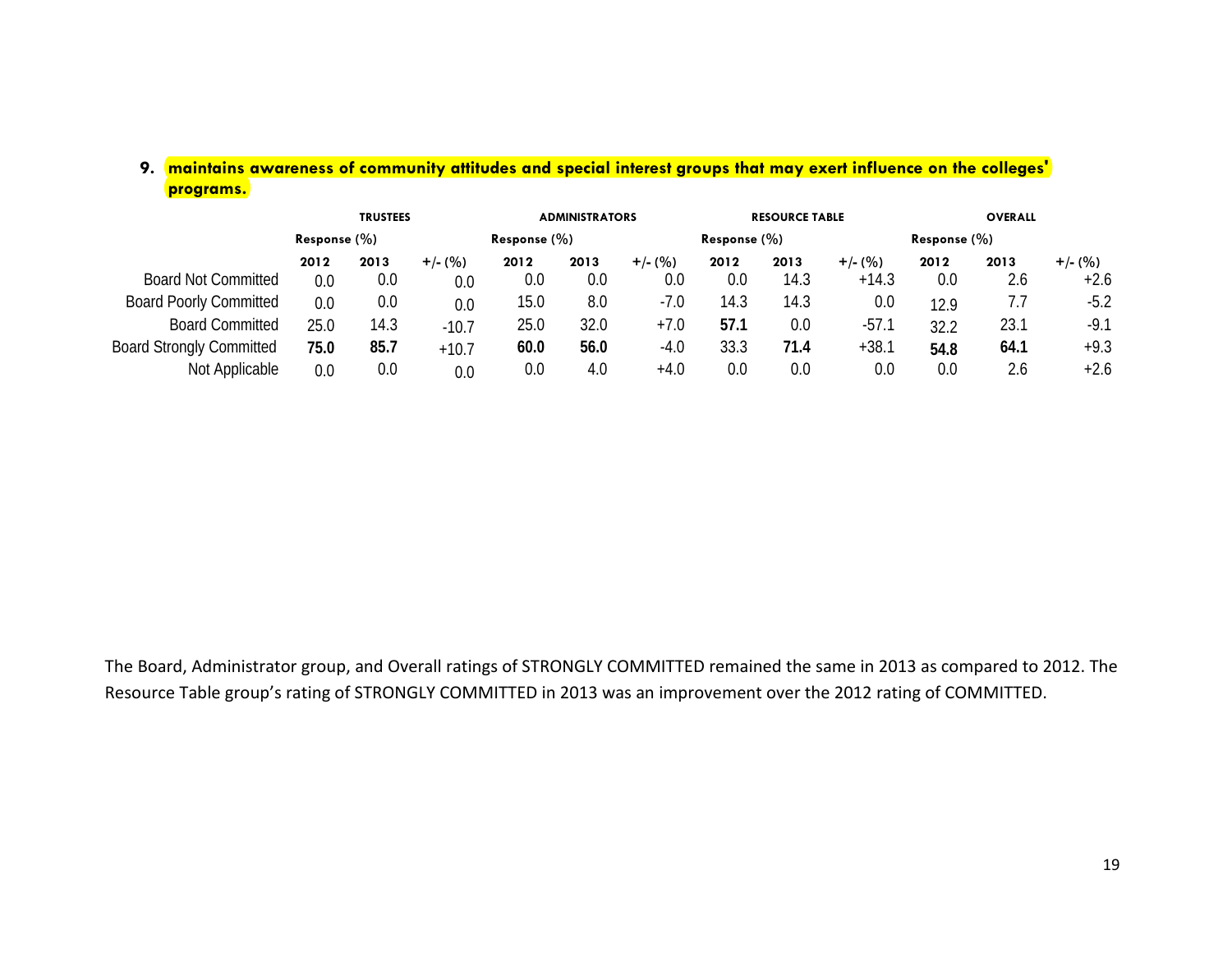|                                 |      | <b>TRUSTEES</b> |           |      | <b>ADMINISTRATORS</b> |           |                 | <b>RESOURCE TABLE</b> |           |                 | <b>OVERALL</b> |           |
|---------------------------------|------|-----------------|-----------|------|-----------------------|-----------|-----------------|-----------------------|-----------|-----------------|----------------|-----------|
|                                 |      | Response $(\%)$ |           |      | Response $(\%)$       |           | Response $(\%)$ |                       |           | Response $(\%)$ |                |           |
|                                 | 2012 | 2013            | $+/-$ (%) | 2012 | 2013                  | $+/-$ (%) | 2012            | 2013                  | $+/-$ (%) | 2012            | 2013           | $+/-$ (%) |
| <b>Board Not Committed</b>      | 0.0  | 0.0             | 0.0       | 0.0  | 0.0                   | $0.0\,$   | 0.0             | 14.3                  | $+14.3$   | 0.0             | 2.6            | $+2.6$    |
| <b>Board Poorly Committed</b>   | 0.0  | 0.0             | 0.0       | 15.0 | 8.0                   | $-7.0$    | 14.3            | 14.3                  | 0.0       | 12.9            | 7.7            | $-5.2$    |
| <b>Board Committed</b>          | 25.0 | 14.3            | $-10.7$   | 25.0 | 32.0                  | +7.0      | 57.1            | 0.0                   | $-57.1$   | 32.2            | 23.1           | $-9.1$    |
| <b>Board Strongly Committed</b> | 75.0 | 85.7            | $+10.7$   | 60.0 | 56.0                  | $-4.0$    | 33.3            | 71.4                  | $+38.1$   | 54.8            | 64.1           | $+9.3$    |
| Not Applicable                  | 0.0  | 0.0             | 0.0       | 0.0  | 4.0                   | $+4.0$    | 0.0             | 0.0                   | 0.0       | 0.0             | 2.6            | $+2.6$    |

## **9. maintains awareness of community attitudes and special interest groups that may exert influence on the colleges' programs.**

The Board, Administrator group, and Overall ratings of STRONGLY COMMITTED remained the same in 2013 as compared to 2012. The Resource Table group's rating of STRONGLY COMMITTED in 2013 was an improvement over the 2012 rating of COMMITTED.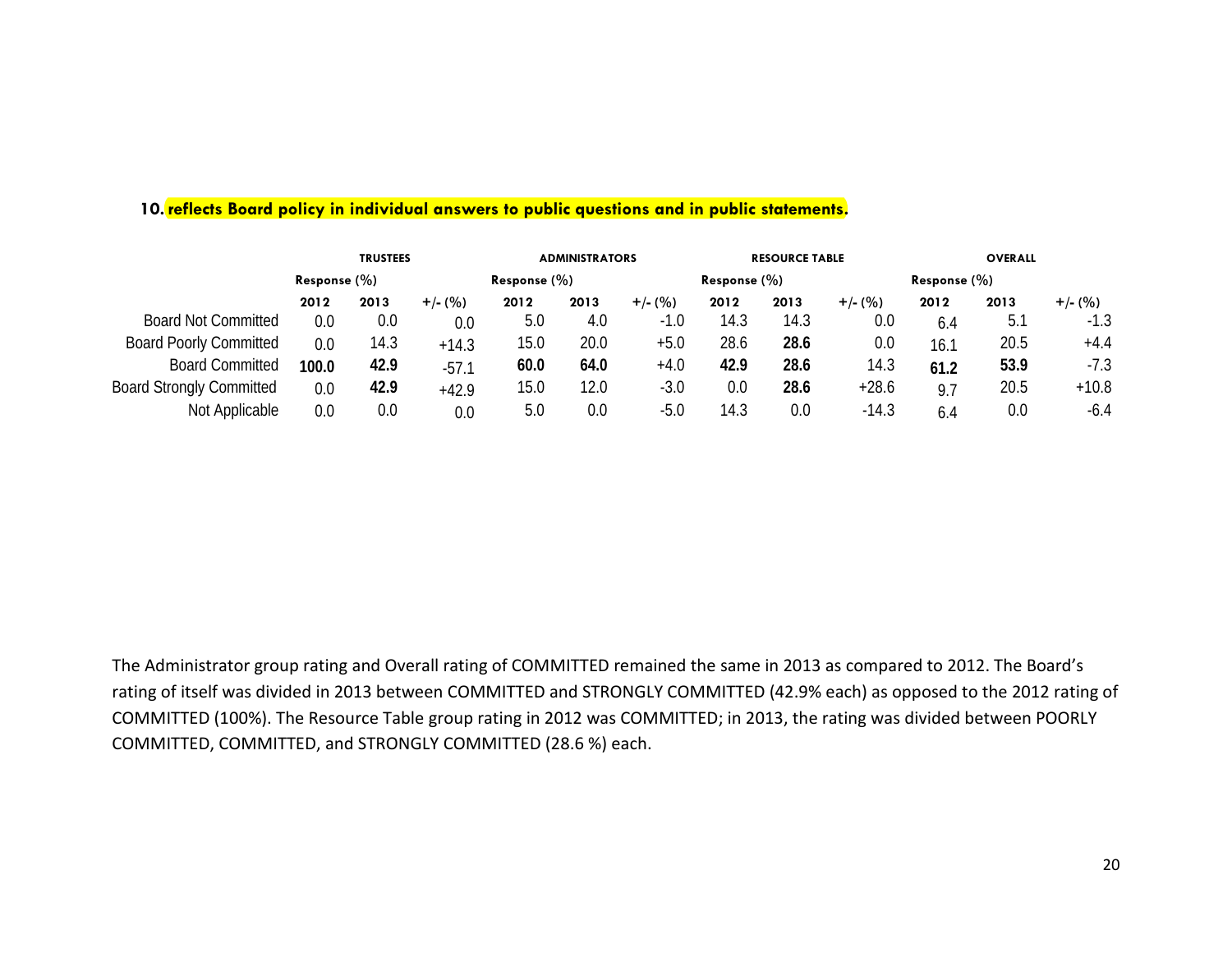|                                 |       | <b>TRUSTEES</b> |           |      | <b>ADMINISTRATORS</b> |           |      | <b>RESOURCE TABLE</b> |           |                 | <b>OVERALL</b> |           |
|---------------------------------|-------|-----------------|-----------|------|-----------------------|-----------|------|-----------------------|-----------|-----------------|----------------|-----------|
|                                 |       | Response $(\%)$ |           |      | Response $(\%)$       |           |      | Response $(\% )$      |           | Response $(\%)$ |                |           |
|                                 | 2012  | 2013            | $+/- (%)$ | 2012 | 2013                  | $+/-$ (%) | 2012 | 2013                  | $+/-$ (%) | 2012            | 2013           | $+/-$ (%) |
| <b>Board Not Committed</b>      | 0.0   | 0.0             | 0.0       | 5.0  | 4.0                   | $-1.0$    | 14.3 | 14.3                  | 0.0       | 6.4             | 5.1            | $-1.3$    |
| <b>Board Poorly Committed</b>   | 0.0   | 14.3            | $+14.3$   | 15.0 | 20.0                  | +5.0      | 28.6 | 28.6                  | 0.0       | 16.1            | 20.5           | +4.4      |
| <b>Board Committed</b>          | 100.0 | 42.9            | $-57.1$   | 60.0 | 64.0                  | $+4.0$    | 42.9 | 28.6                  | 14.3      | 61.2            | 53.9           | $-7.3$    |
| <b>Board Strongly Committed</b> | 0.0   | 42.9            | $+42.9$   | 15.0 | 12.0                  | $-3.0$    | 0.0  | 28.6                  | $+28.6$   | 9.7             | 20.5           | $+10.8$   |
| Not Applicable                  | 0.0   | 0.0             | 0.0       | 5.0  | 0.0                   | $-5.0$    | 14.3 | 0.0                   | $-14.3$   | 6.4             | 0.0            | $-6.4$    |

## **10. reflects Board policy in individual answers to public questions and in public statements.**

The Administrator group rating and Overall rating of COMMITTED remained the same in 2013 as compared to 2012. The Board's rating of itself was divided in 2013 between COMMITTED and STRONGLY COMMITTED (42.9% each) as opposed to the 2012 rating of COMMITTED (100%). The Resource Table group rating in 2012 was COMMITTED; in 2013, the rating was divided between POORLY COMMITTED, COMMITTED, and STRONGLY COMMITTED (28.6 %) each.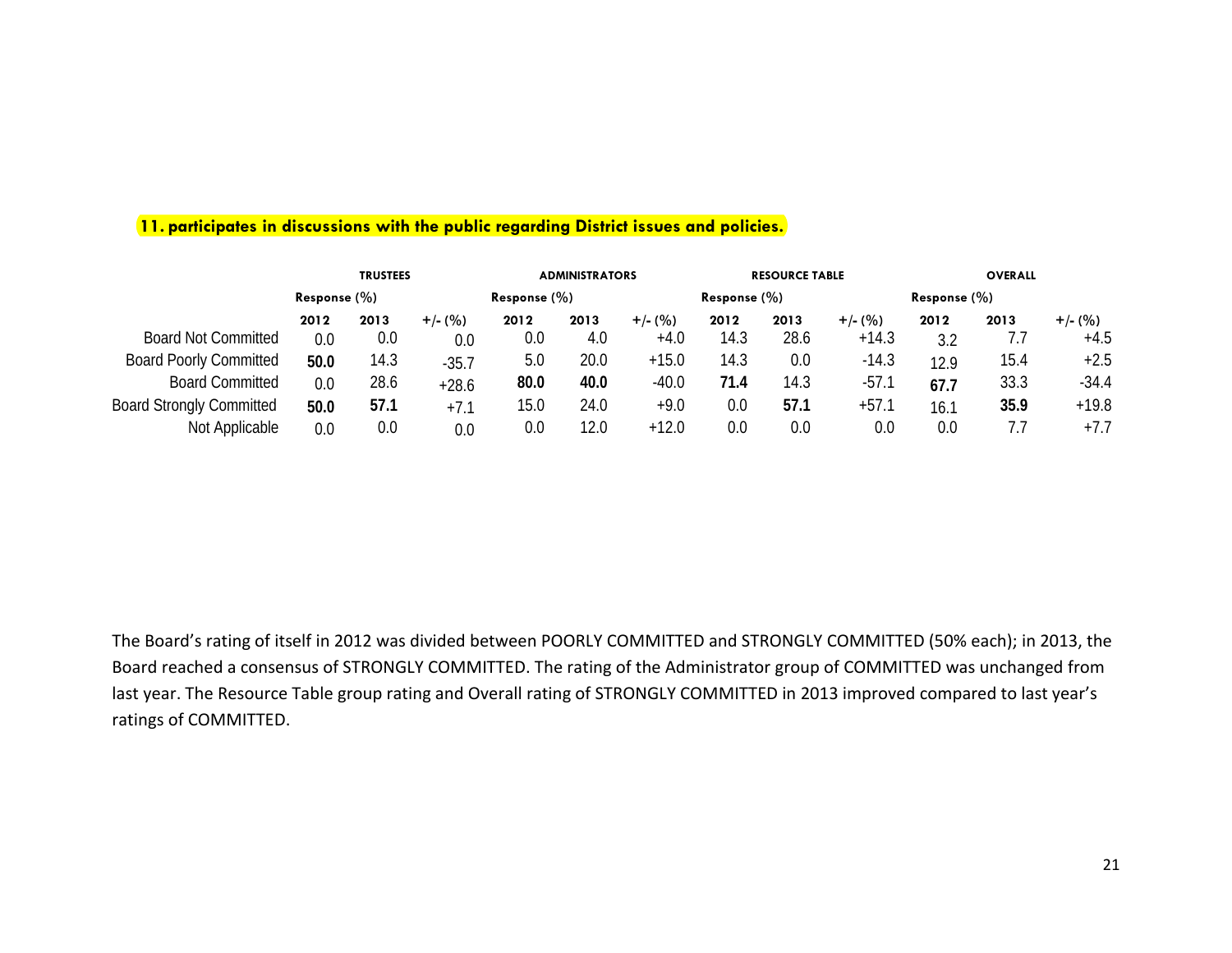### **11. participates in discussions with the public regarding District issues and policies.**

|                                 |      | <b>TRUSTEES</b>  |           |      | <b>ADMINISTRATORS</b> |           |                 | <b>RESOURCE TABLE</b> |           |                  | <b>OVERALL</b> |           |
|---------------------------------|------|------------------|-----------|------|-----------------------|-----------|-----------------|-----------------------|-----------|------------------|----------------|-----------|
|                                 |      | Response $(\% )$ |           |      | Response (%)          |           | Response $(\%)$ |                       |           | Response $(\% )$ |                |           |
|                                 | 2012 | 2013             | $+/-$ (%) | 2012 | 2013                  | $+/-$ (%) | 2012            | 2013                  | $+/-$ (%) | 2012             | 2013           | $+/-$ (%) |
| <b>Board Not Committed</b>      | 0.0  | 0.0              | 0.0       | 0.0  | 4.0                   | $+4.0$    | 14.3            | 28.6                  | $+14.3$   | 3.2              | 1.1            | $+4.5$    |
| <b>Board Poorly Committed</b>   | 50.0 | 14.3             | $-35.7$   | 5.0  | 20.0                  | $+15.0$   | 14.3            | 0.0                   | $-14.3$   | 12.9             | 15.4           | $+2.5$    |
| <b>Board Committed</b>          | 0.0  | 28.6             | $+28.6$   | 80.0 | 40.0                  | $-40.0$   | 71.4            | 14.3                  | $-57.1$   | 67.7             | 33.3           | $-34.4$   |
| <b>Board Strongly Committed</b> | 50.0 | 57.1             | $+7.1$    | 15.0 | 24.0                  | +9.0      | 0.0             | 57.1                  | $+57.1$   | 16.1             | 35.9           | $+19.8$   |
| Not Applicable                  | 0.0  | 0.0              | 0.0       | 0.0  | 12.0                  | $+12.0$   | 0.0             | 0.0                   | 0.0       | 0.0              | 7.7            | $+7.7$    |

The Board's rating of itself in 2012 was divided between POORLY COMMITTED and STRONGLY COMMITTED (50% each); in 2013, the Board reached a consensus of STRONGLY COMMITTED. The rating of the Administrator group of COMMITTED was unchanged from last year. The Resource Table group rating and Overall rating of STRONGLY COMMITTED in 2013 improved compared to last year's ratings of COMMITTED.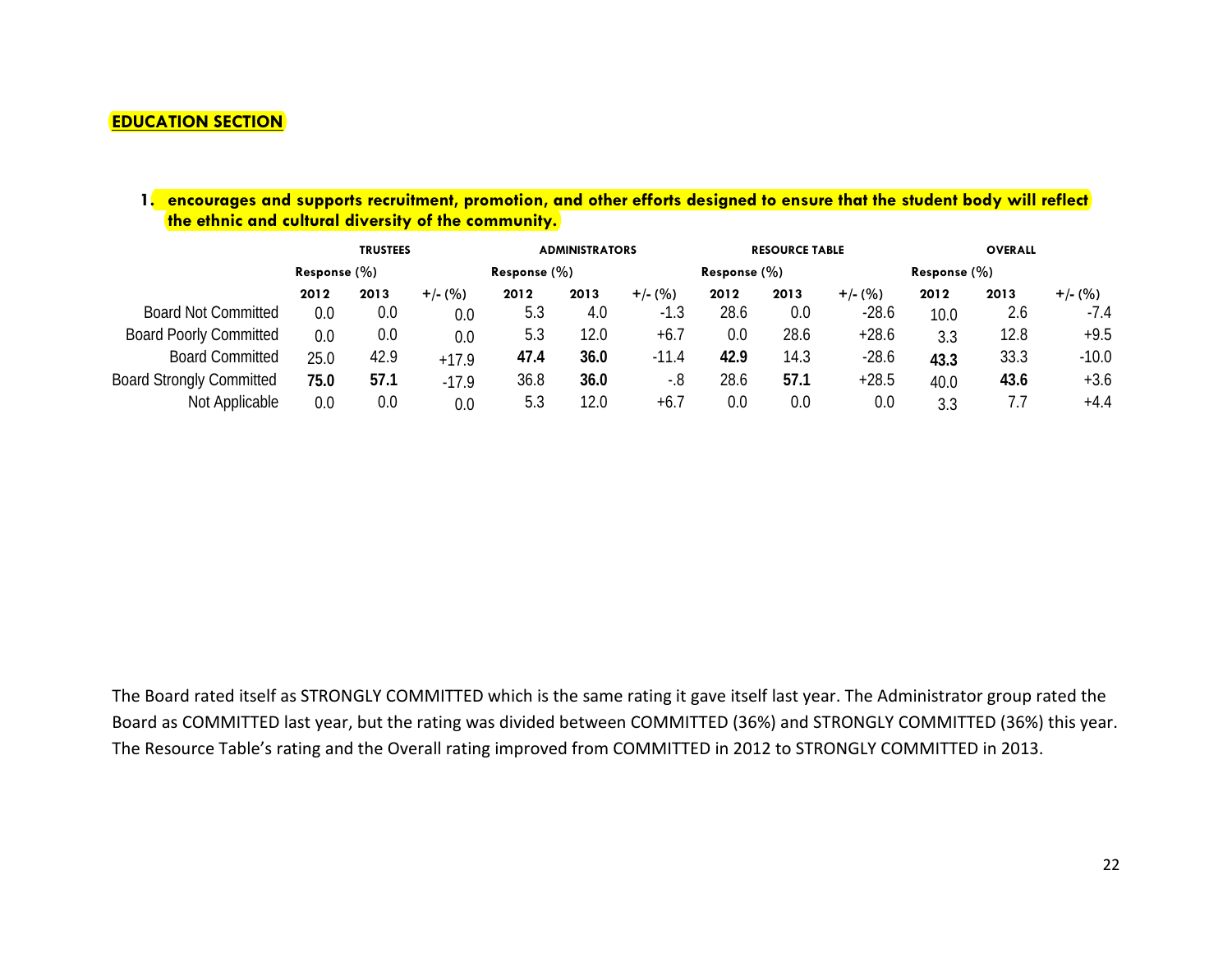#### **EDUCATION SECTION**

### **1. encourages and supports recruitment, promotion, and other efforts designed to ensure that the student body will reflect the ethnic and cultural diversity of the community.**

|                                 |      | <b>TRUSTEES</b>  |           |      | <b>ADMINISTRATORS</b> |           |                 | <b>RESOURCE TABLE</b> |           |                  | <b>OVERALL</b> |           |
|---------------------------------|------|------------------|-----------|------|-----------------------|-----------|-----------------|-----------------------|-----------|------------------|----------------|-----------|
|                                 |      | Response $(\% )$ |           |      | Response $(\%)$       |           | Response $(\%)$ |                       |           | Response $(\% )$ |                |           |
|                                 | 2012 | 2013             | $+/-$ (%) | 2012 | 2013                  | $+/-$ (%) | 2012            | 2013                  | $+/-$ (%) | 2012             | 2013           | $+/-$ (%) |
| <b>Board Not Committed</b>      | 0.0  | 0.0              | 0.0       | 5.3  | 4.0                   | $-1.3$    | 28.6            | 0.0                   | $-28.6$   | 10.0             | 2.6            | $-7.4$    |
| <b>Board Poorly Committed</b>   | 0.0  | 0.0              | 0.0       | 5.3  | 12.0                  | $+6.7$    | 0.0             | 28.6                  | $+28.6$   | 3.3              | 12.8           | $+9.5$    |
| <b>Board Committed</b>          | 25.0 | 42.9             | $+17.9$   | 47.4 | 36.0                  | $-11.4$   | 42.9            | 14.3                  | $-28.6$   | 43.3             | 33.3           | $-10.0$   |
| <b>Board Strongly Committed</b> | 75.0 | 57.1             | $-17.9$   | 36.8 | 36.0                  | -.8       | 28.6            | 57.1                  | $+28.5$   | 40.0             | 43.6           | $+3.6$    |
| Not Applicable                  | 0.0  | 0.0              | 0.0       | 5.3  | 12.0                  | $+6.7$    | 0.0             | 0.0                   | 0.0       | 3.3              | 7.7            | $+4.4$    |

The Board rated itself as STRONGLY COMMITTED which is the same rating it gave itself last year. The Administrator group rated the Board as COMMITTED last year, but the rating was divided between COMMITTED (36%) and STRONGLY COMMITTED (36%) this year. The Resource Table's rating and the Overall rating improved from COMMITTED in 2012 to STRONGLY COMMITTED in 2013.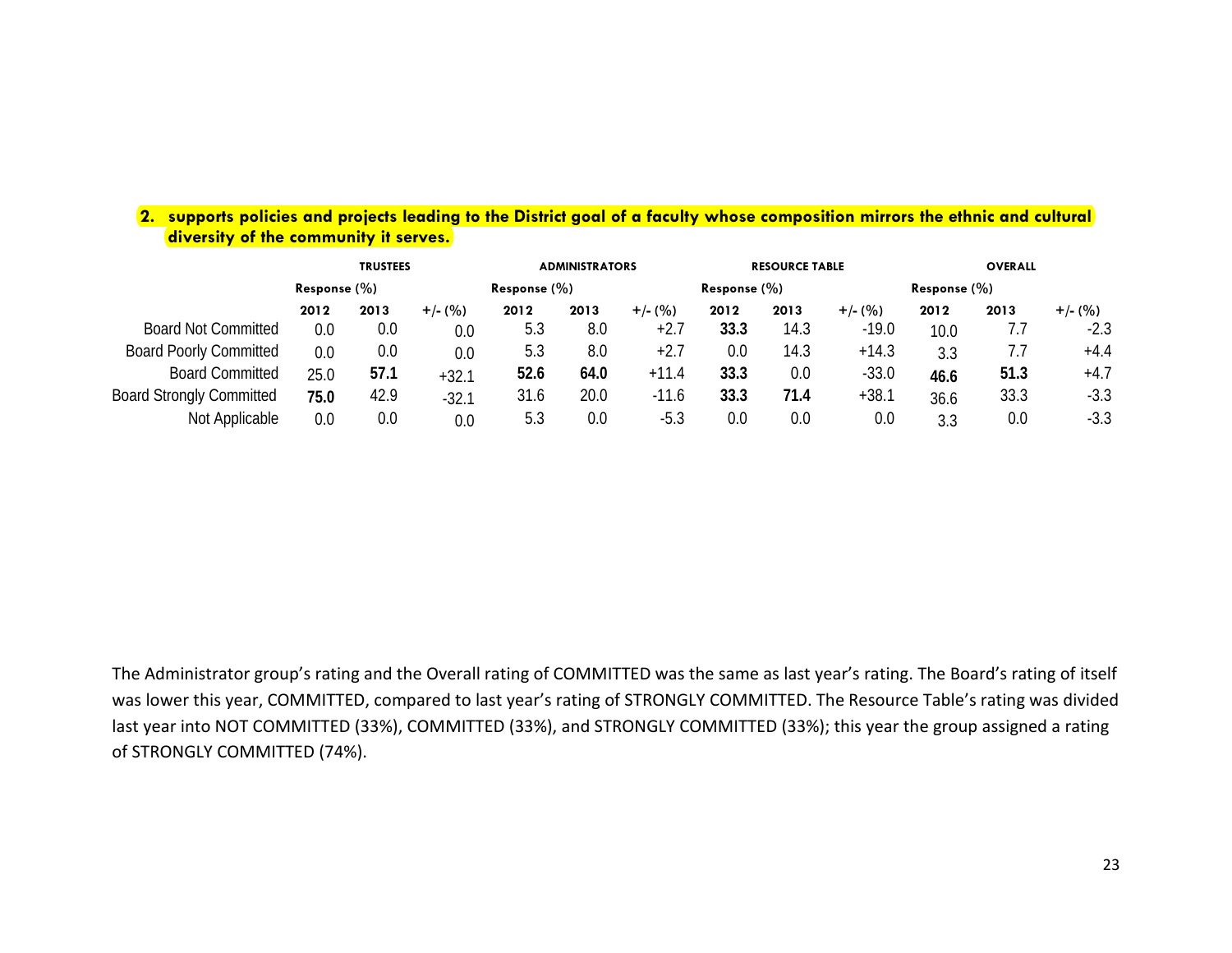|                                       | 2. supports policies and projects leading to the District goal of a faculty whose composition mirrors the ethnic and cultural |
|---------------------------------------|-------------------------------------------------------------------------------------------------------------------------------|
| diversity of the community it serves. |                                                                                                                               |

|                                 | <b>TRUSTEES</b>  |      |                 | <b>ADMINISTRATORS</b> |      |                 | <b>RESOURCE TABLE</b> |      |                 | <b>OVERALL</b> |      |           |
|---------------------------------|------------------|------|-----------------|-----------------------|------|-----------------|-----------------------|------|-----------------|----------------|------|-----------|
|                                 | Response $(\% )$ |      | Response $(\%)$ |                       |      | Response $(\%)$ |                       |      | Response $(\%)$ |                |      |           |
|                                 | 2012             | 2013 | $+/- (%)$       | 2012                  | 2013 | $+/-$ (%)       | 2012                  | 2013 | $+/-$ (%)       | 2012           | 2013 | $+/-$ (%) |
| <b>Board Not Committed</b>      | 0.0              | 0.0  | 0.0             | 5.3                   | 8.0  | $+2.7$          | 33.3                  | 14.3 | $-19.0$         | 10.0           | 1.1  | $-2.3$    |
| <b>Board Poorly Committed</b>   | 0.0              | 0.0  | 0.0             | 5.3                   | 8.0  | $+2.7$          | 0.0                   | 14.3 | $+14.3$         | 3.3            | 7.7  | $+4.4$    |
| <b>Board Committed</b>          | 25.0             | 57.1 | $+32.1$         | 52.6                  | 64.0 | $+11.4$         | 33.3                  | 0.0  | $-33.0$         | 46.6           | 51.3 | $+4.7$    |
| <b>Board Strongly Committed</b> | 75.0             | 42.9 | $-32.1$         | 31.6                  | 20.0 | $-11.6$         | 33.3                  | 71.4 | $+38.1$         | 36.6           | 33.3 | $-3.3$    |
| Not Applicable                  | 0.0              | 0.0  | 0.0             | 5.3                   | 0.0  | $-5.3$          | 0.0                   | 0.0  | 0.0             | 3.3            | 0.0  | $-3.3$    |

The Administrator group's rating and the Overall rating of COMMITTED was the same as last year's rating. The Board's rating of itself was lower this year, COMMITTED, compared to last year's rating of STRONGLY COMMITTED. The Resource Table's rating was divided last year into NOT COMMITTED (33%), COMMITTED (33%), and STRONGLY COMMITTED (33%); this year the group assigned a rating of STRONGLY COMMITTED (74%).